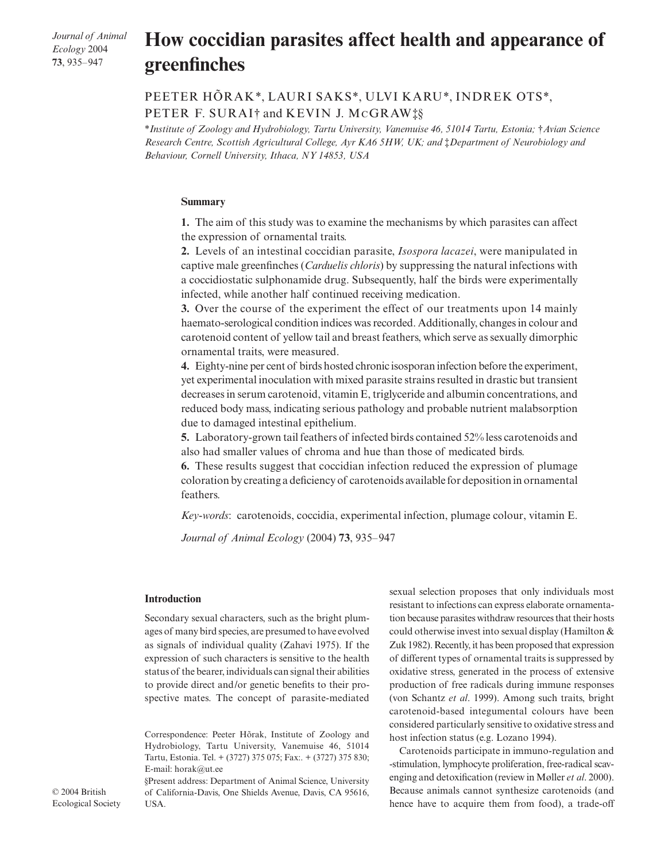*Journal of Animal Ecology* 2004 **73**, 935–947

# How coccidian parasites affect health and appearance of **greenfinches**

# PEETER HÕRAK\*, LAURI SAKS\*, ULVI KARU\*, INDREK OTS\*, PETER F. SURAI† and KEVIN J. MCGRAW‡§

\**Institute of Zoology and Hydrobiology, Tartu University, Vanemuise 46, 51014 Tartu, Estonia;* †*Avian Science Research Centre, Scottish Agricultural College, Ayr KA6 5HW, UK; and* ‡*Department of Neurobiology and Behaviour, Cornell University, Ithaca, NY 14853, USA* 

#### **Summary**

**1.** The aim of this study was to examine the mechanisms by which parasites can affect the expression of ornamental traits.

**2.** Levels of an intestinal coccidian parasite, *Isospora lacazei*, were manipulated in captive male greenfinches (*Carduelis chloris*) by suppressing the natural infections with a coccidiostatic sulphonamide drug. Subsequently, half the birds were experimentally infected, while another half continued receiving medication.

**3.** Over the course of the experiment the effect of our treatments upon 14 mainly haemato-serological condition indices was recorded. Additionally, changes in colour and carotenoid content of yellow tail and breast feathers, which serve as sexually dimorphic ornamental traits, were measured.

**4.** Eighty-nine per cent of birds hosted chronic isosporan infection before the experiment, yet experimental inoculation with mixed parasite strains resulted in drastic but transient decreases in serum carotenoid, vitamin E, triglyceride and albumin concentrations, and reduced body mass, indicating serious pathology and probable nutrient malabsorption due to damaged intestinal epithelium.

**5.** Laboratory-grown tail feathers of infected birds contained 52% less carotenoids and also had smaller values of chroma and hue than those of medicated birds.

**6.** These results suggest that coccidian infection reduced the expression of plumage coloration by creating a deficiency of carotenoids available for deposition in ornamental feathers.

*Key-words*: carotenoids, coccidia, experimental infection, plumage colour, vitamin E.

*Journal of Animal Ecology* (2004) **73**, 935–947

#### **Introduction**

Secondary sexual characters, such as the bright plumages of many bird species, are presumed to have evolved as signals of individual quality (Zahavi 1975). If the expression of such characters is sensitive to the health status of the bearer, individuals can signal their abilities to provide direct and/or genetic benefits to their prospective mates. The concept of parasite-mediated

Correspondence: Peeter Hõrak, Institute of Zoology and Hydrobiology, Tartu University, Vanemuise 46, 51014 Tartu, Estonia. Tel. + (3727) 375 075; Fax:. + (3727) 375 830; E-mail: horak@ut.ee

§Present address: Department of Animal Science, University of California-Davis, One Shields Avenue, Davis, CA 95616, USA.

sexual selection proposes that only individuals most resistant to infections can express elaborate ornamentation because parasites withdraw resources that their hosts could otherwise invest into sexual display (Hamilton & Zuk 1982). Recently, it has been proposed that expression of different types of ornamental traits is suppressed by oxidative stress, generated in the process of extensive production of free radicals during immune responses (von Schantz *et al*. 1999). Among such traits, bright carotenoid-based integumental colours have been considered particularly sensitive to oxidative stress and host infection status (e.g. Lozano 1994).

Carotenoids participate in immuno-regulation and -stimulation, lymphocyte proliferation, free-radical scavenging and detoxification (review in Møller *et al*. 2000). Because animals cannot synthesize carotenoids (and hence have to acquire them from food), a trade-off

© 2004 British Ecological Society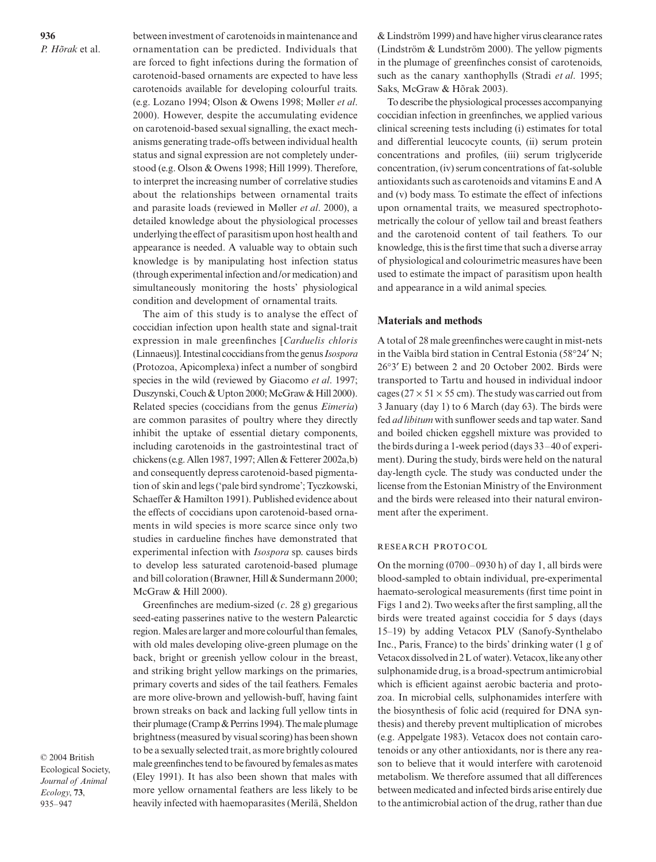between investment of carotenoids in maintenance and ornamentation can be predicted. Individuals that are forced to fight infections during the formation of carotenoid-based ornaments are expected to have less carotenoids available for developing colourful traits. (e.g. Lozano 1994; Olson & Owens 1998; Møller *et al*. 2000). However, despite the accumulating evidence on carotenoid-based sexual signalling, the exact mechanisms generating trade-offs between individual health status and signal expression are not completely understood (e.g. Olson & Owens 1998; Hill 1999). Therefore, to interpret the increasing number of correlative studies about the relationships between ornamental traits and parasite loads (reviewed in Møller *et al*. 2000), a detailed knowledge about the physiological processes underlying the effect of parasitism upon host health and appearance is needed. A valuable way to obtain such knowledge is by manipulating host infection status (through experimental infection and/or medication) and simultaneously monitoring the hosts' physiological condition and development of ornamental traits.

The aim of this study is to analyse the effect of coccidian infection upon health state and signal-trait expression in male greenfinches [*Carduelis chloris* (Linnaeus)]. Intestinal coccidians from the genus *Isospora* (Protozoa, Apicomplexa) infect a number of songbird species in the wild (reviewed by Giacomo *et al*. 1997; Duszynski, Couch & Upton 2000; McGraw & Hill 2000). Related species (coccidians from the genus *Eimeria*) are common parasites of poultry where they directly inhibit the uptake of essential dietary components, including carotenoids in the gastrointestinal tract of chickens (e.g. Allen 1987, 1997; Allen & Fetterer 2002a,b) and consequently depress carotenoid-based pigmentation of skin and legs ('pale bird syndrome'; Tyczkowski, Schaeffer & Hamilton 1991). Published evidence about the effects of coccidians upon carotenoid-based ornaments in wild species is more scarce since only two studies in cardueline finches have demonstrated that experimental infection with *Isospora* sp. causes birds to develop less saturated carotenoid-based plumage and bill coloration (Brawner, Hill & Sundermann 2000; McGraw & Hill 2000).

Greenfinches are medium-sized (*c*. 28 g) gregarious seed-eating passerines native to the western Palearctic region. Males are larger and more colourful than females, with old males developing olive-green plumage on the back, bright or greenish yellow colour in the breast, and striking bright yellow markings on the primaries, primary coverts and sides of the tail feathers. Females are more olive-brown and yellowish-buff, having faint brown streaks on back and lacking full yellow tints in their plumage (Cramp & Perrins 1994). The male plumage brightness (measured by visual scoring) has been shown to be a sexually selected trait, as more brightly coloured male greenfinches tend to be favoured by females as mates (Eley 1991). It has also been shown that males with more yellow ornamental feathers are less likely to be heavily infected with haemoparasites (Merilä, Sheldon

© 2004 British Ecological Society, *Journal of Animal Ecology*, **73**, 935–947

& Lindström 1999) and have higher virus clearance rates (Lindström & Lundström 2000). The yellow pigments in the plumage of greenfinches consist of carotenoids, such as the canary xanthophylls (Stradi *et al*. 1995; Saks, McGraw & Hõrak 2003).

To describe the physiological processes accompanying coccidian infection in greenfinches, we applied various clinical screening tests including (i) estimates for total and differential leucocyte counts, (ii) serum protein concentrations and profiles, (iii) serum triglyceride concentration, (iv) serum concentrations of fat-soluble antioxidants such as carotenoids and vitamins E and A and (v) body mass. To estimate the effect of infections upon ornamental traits, we measured spectrophotometrically the colour of yellow tail and breast feathers and the carotenoid content of tail feathers. To our knowledge, this is the first time that such a diverse array of physiological and colourimetric measures have been used to estimate the impact of parasitism upon health and appearance in a wild animal species.

#### **Materials and methods**

A total of 28 male greenfinches were caught in mist-nets in the Vaibla bird station in Central Estonia (58°24′ N; 26°3′ E) between 2 and 20 October 2002. Birds were transported to Tartu and housed in individual indoor cages ( $27 \times 51 \times 55$  cm). The study was carried out from 3 January (day 1) to 6 March (day 63). The birds were fed *ad libitum* with sunflower seeds and tap water. Sand and boiled chicken eggshell mixture was provided to the birds during a 1-week period (days 33–40 of experiment). During the study, birds were held on the natural day-length cycle. The study was conducted under the license from the Estonian Ministry of the Environment and the birds were released into their natural environment after the experiment.

#### RESEARCH PROTOCOL

On the morning (0700–0930 h) of day 1, all birds were blood-sampled to obtain individual, pre-experimental haemato-serological measurements (first time point in Figs 1 and 2). Two weeks after the first sampling, all the birds were treated against coccidia for 5 days (days 15–19) by adding Vetacox PLV (Sanofy-Synthelabo Inc., Paris, France) to the birds' drinking water (1 g of Vetacox dissolved in 2 L of water). Vetacox, like any other sulphonamide drug, is a broad-spectrum antimicrobial which is efficient against aerobic bacteria and protozoa. In microbial cells, sulphonamides interfere with the biosynthesis of folic acid (required for DNA synthesis) and thereby prevent multiplication of microbes (e.g. Appelgate 1983). Vetacox does not contain carotenoids or any other antioxidants, nor is there any reason to believe that it would interfere with carotenoid metabolism. We therefore assumed that all differences between medicated and infected birds arise entirely due to the antimicrobial action of the drug, rather than due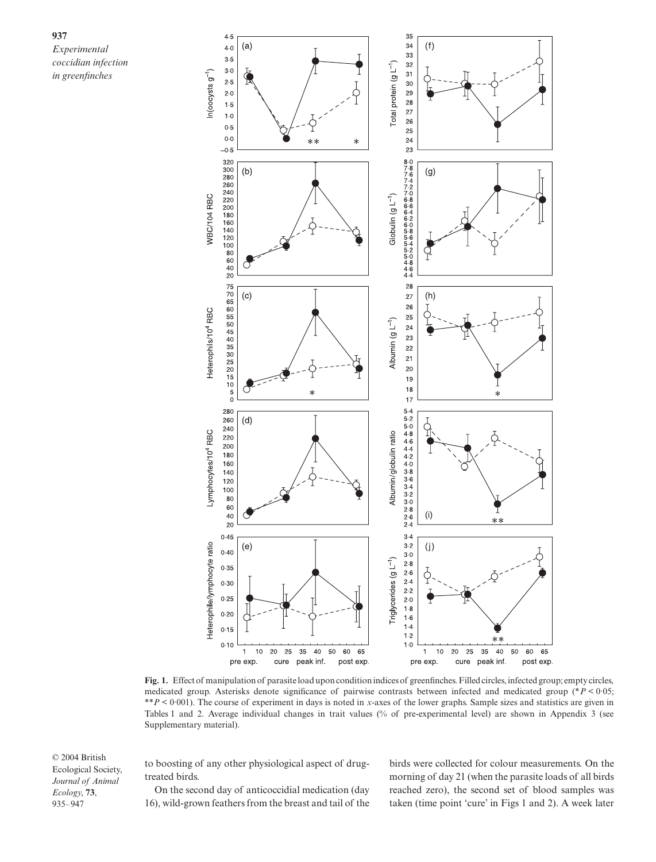

**Fig. 1.** Effect of manipulation of parasite load upon condition indices of greenfinches. Filled circles, infected group; empty circles, medicated group. Asterisks denote significance of pairwise contrasts between infected and medicated group (\**P* < 0·05; \*\**P* < 0·001). The course of experiment in days is noted in *x*-axes of the lower graphs. Sample sizes and statistics are given in Tables 1 and 2. Average individual changes in trait values (% of pre-experimental level) are shown in Appendix 3 (see Supplementary material).

© 2004 British Ecological Society, *Journal of Animal Ecology*, **73**, 935–947

to boosting of any other physiological aspect of drugtreated birds.

On the second day of anticoccidial medication (day 16), wild-grown feathers from the breast and tail of the birds were collected for colour measurements. On the morning of day 21 (when the parasite loads of all birds reached zero), the second set of blood samples was taken (time point 'cure' in Figs 1 and 2). A week later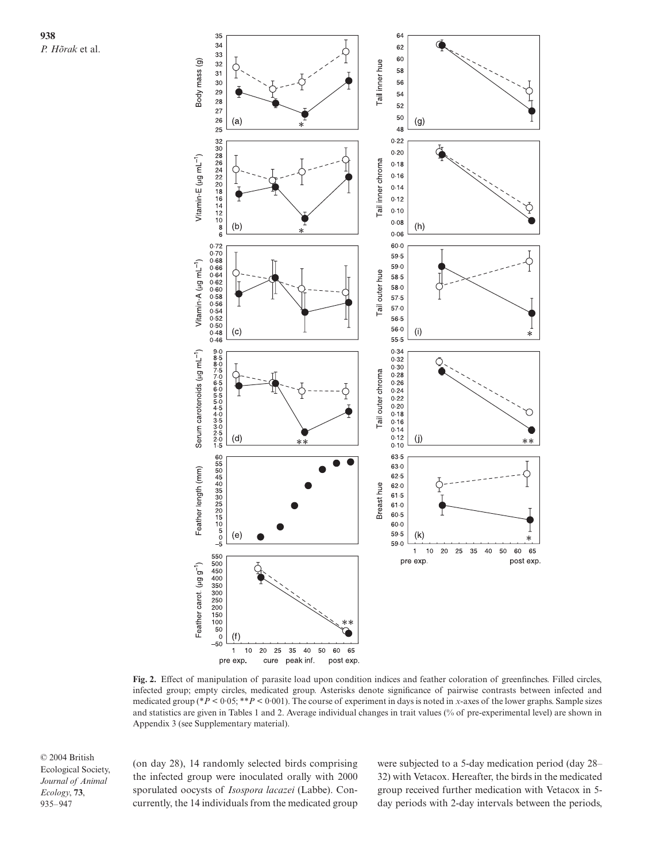**938** *P. Hõrak* et al.



**Fig. 2.** Effect of manipulation of parasite load upon condition indices and feather coloration of greenfinches. Filled circles, infected group; empty circles, medicated group. Asterisks denote significance of pairwise contrasts between infected and medicated group (\**P* < 0·05; \*\**P* < 0·001). The course of experiment in days is noted in *x*-axes of the lower graphs. Sample sizes and statistics are given in Tables 1 and 2. Average individual changes in trait values (% of pre-experimental level) are shown in Appendix 3 (see Supplementary material).

© 2004 British Ecological Society, *Journal of Animal Ecology*, **73**, 935–947

(on day 28), 14 randomly selected birds comprising the infected group were inoculated orally with 2000 sporulated oocysts of *Isospora lacazei* (Labbe). Concurrently, the 14 individuals from the medicated group were subjected to a 5-day medication period (day 28– 32) with Vetacox. Hereafter, the birds in the medicated group received further medication with Vetacox in 5 day periods with 2-day intervals between the periods,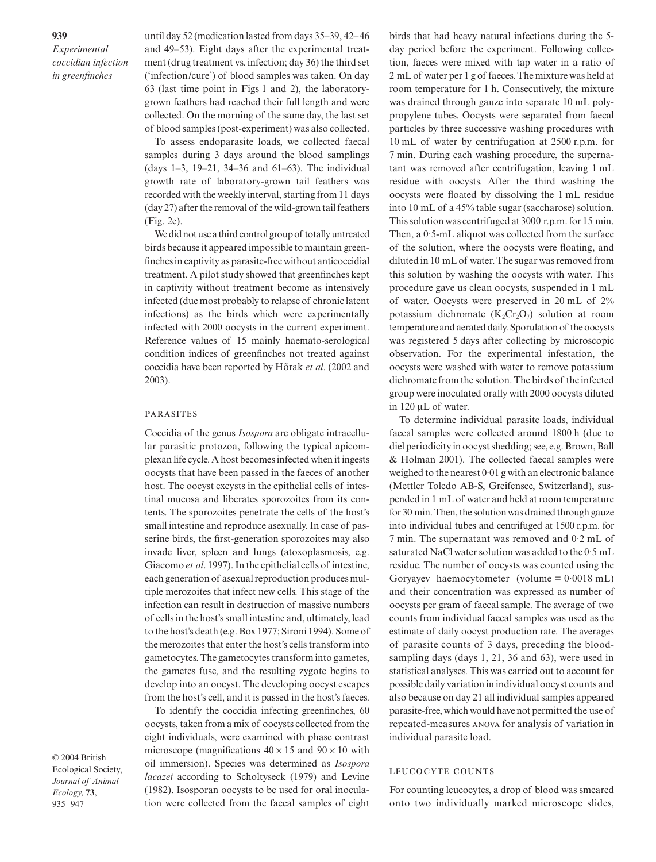until day 52 (medication lasted from days 35–39, 42–46 and 49–53). Eight days after the experimental treatment (drug treatment vs. infection; day 36) the third set ('infection/cure') of blood samples was taken. On day 63 (last time point in Figs 1 and 2), the laboratorygrown feathers had reached their full length and were collected. On the morning of the same day, the last set of blood samples (post-experiment) was also collected.

To assess endoparasite loads, we collected faecal samples during 3 days around the blood samplings (days 1–3, 19–21, 34–36 and 61–63). The individual growth rate of laboratory-grown tail feathers was recorded with the weekly interval, starting from 11 days (day 27) after the removal of the wild-grown tail feathers (Fig. 2e).

Wedid not use a third control group of totally untreated birds because it appeared impossible to maintain greenfinches in captivity as parasite-free without anticoccidial treatment. A pilot study showed that greenfinches kept in captivity without treatment become as intensively infected (due most probably to relapse of chronic latent infections) as the birds which were experimentally infected with 2000 oocysts in the current experiment. Reference values of 15 mainly haemato-serological condition indices of greenfinches not treated against coccidia have been reported by Hõrak *et al*. (2002 and 2003).

#### **PARASITES**

Coccidia of the genus *Isospora* are obligate intracellular parasitic protozoa, following the typical apicomplexan life cycle. A host becomes infected when it ingests oocysts that have been passed in the faeces of another host. The oocyst excysts in the epithelial cells of intestinal mucosa and liberates sporozoites from its contents. The sporozoites penetrate the cells of the host's small intestine and reproduce asexually. In case of passerine birds, the first-generation sporozoites may also invade liver, spleen and lungs (atoxoplasmosis, e.g. Giacomo *et al*. 1997). In the epithelial cells of intestine, each generation of asexual reproduction produces multiple merozoites that infect new cells. This stage of the infection can result in destruction of massive numbers of cells in the host's small intestine and, ultimately, lead to the host's death (e.g. Box 1977; Sironi 1994). Some of the merozoites that enter the host's cells transform into gametocytes. The gametocytes transform into gametes, the gametes fuse, and the resulting zygote begins to develop into an oocyst. The developing oocyst escapes from the host's cell, and it is passed in the host's faeces.

To identify the coccidia infecting greenfinches, 60 oocysts, taken from a mix of oocysts collected from the eight individuals, were examined with phase contrast microscope (magnifications  $40 \times 15$  and  $90 \times 10$  with oil immersion). Species was determined as *Isospora lacazei* according to Scholtyseck (1979) and Levine (1982). Isosporan oocysts to be used for oral inoculation were collected from the faecal samples of eight

birds that had heavy natural infections during the 5 day period before the experiment. Following collection, faeces were mixed with tap water in a ratio of 2 mL of water per 1 g of faeces. The mixture was held at room temperature for 1 h. Consecutively, the mixture was drained through gauze into separate 10 mL polypropylene tubes. Oocysts were separated from faecal particles by three successive washing procedures with 10 mL of water by centrifugation at 2500 r.p.m. for 7 min. During each washing procedure, the supernatant was removed after centrifugation, leaving 1 mL residue with oocysts. After the third washing the oocysts were floated by dissolving the 1 mL residue into 10 mL of a 45% table sugar (saccharose) solution. This solution was centrifuged at 3000 r.p.m. for 15 min. Then, a 0·5-mL aliquot was collected from the surface of the solution, where the oocysts were floating, and diluted in 10 mL of water. The sugar was removed from this solution by washing the oocysts with water. This procedure gave us clean oocysts, suspended in 1 mL of water. Oocysts were preserved in 20 mL of 2% potassium dichromate  $(K_2Cr_2O_7)$  solution at room temperature and aerated daily. Sporulation of the oocysts was registered 5 days after collecting by microscopic observation. For the experimental infestation, the oocysts were washed with water to remove potassium dichromate from the solution. The birds of the infected group were inoculated orally with 2000 oocysts diluted in 120 µL of water.

To determine individual parasite loads, individual faecal samples were collected around 1800 h (due to diel periodicity in oocyst shedding; see, e.g. Brown, Ball & Holman 2001). The collected faecal samples were weighed to the nearest 0·01 g with an electronic balance (Mettler Toledo AB-S, Greifensee, Switzerland), suspended in 1 mL of water and held at room temperature for 30 min. Then, the solution was drained through gauze into individual tubes and centrifuged at 1500 r.p.m. for 7 min. The supernatant was removed and 0·2 mL of saturated NaCl water solution was added to the 0·5 mL residue. The number of oocysts was counted using the Goryayev haemocytometer (volume =  $0.0018$  mL) and their concentration was expressed as number of oocysts per gram of faecal sample. The average of two counts from individual faecal samples was used as the estimate of daily oocyst production rate. The averages of parasite counts of 3 days, preceding the bloodsampling days (days 1, 21, 36 and 63), were used in statistical analyses. This was carried out to account for possible daily variation in individual oocyst counts and also because on day 21 all individual samples appeared parasite-free, which would have not permitted the use of repeated-measures ANOVA for analysis of variation in individual parasite load.

# LEUCOCYTE COUNTS

For counting leucocytes, a drop of blood was smeared onto two individually marked microscope slides,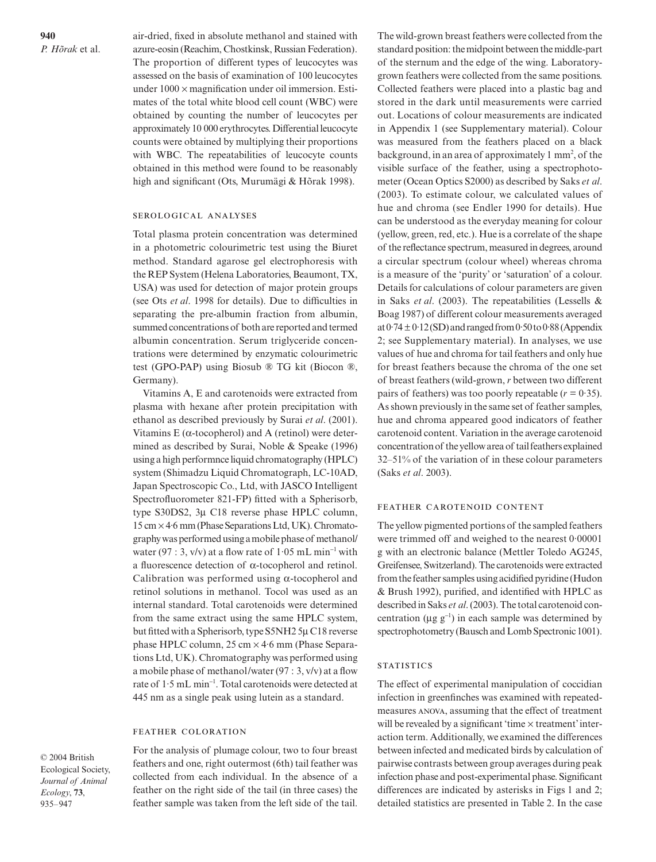air-dried, fixed in absolute methanol and stained with azure-eosin (Reachim, Chostkinsk, Russian Federation). The proportion of different types of leucocytes was assessed on the basis of examination of 100 leucocytes under  $1000 \times$  magnification under oil immersion. Estimates of the total white blood cell count (WBC) were obtained by counting the number of leucocytes per approximately 10 000 erythrocytes. Differential leucocyte counts were obtained by multiplying their proportions with WBC. The repeatabilities of leucocyte counts obtained in this method were found to be reasonably high and significant (Ots, Murumägi & Hõrak 1998).

#### SEROLOGICAL ANALYSES

Total plasma protein concentration was determined in a photometric colourimetric test using the Biuret method. Standard agarose gel electrophoresis with the REP System (Helena Laboratories, Beaumont, TX, USA) was used for detection of major protein groups (see Ots *et al*. 1998 for details). Due to difficulties in separating the pre-albumin fraction from albumin, summed concentrations of both are reported and termed albumin concentration. Serum triglyceride concentrations were determined by enzymatic colourimetric test (GPO-PAP) using Biosub ® TG kit (Biocon ®, Germany).

Vitamins A, E and carotenoids were extracted from plasma with hexane after protein precipitation with ethanol as described previously by Surai *et al*. (2001). Vitamins  $E$  ( $\alpha$ -tocopherol) and  $A$  (retinol) were determined as described by Surai, Noble & Speake (1996) using a high performnce liquid chromatography (HPLC) system (Shimadzu Liquid Chromatograph, LC-10AD, Japan Spectroscopic Co., Ltd, with JASCO Intelligent Spectrofluorometer 821-FP) fitted with a Spherisorb, type S30DS2, 3µ C18 reverse phase HPLC column, 15 cm × 4·6 mm (Phase Separations Ltd, UK). Chromatography was performed using a mobile phase of methanol/ water (97 : 3, v/v) at a flow rate of  $1.05$  mL min<sup>-1</sup> with a fluorescence detection of α-tocopherol and retinol. Calibration was performed using α-tocopherol and retinol solutions in methanol. Tocol was used as an internal standard. Total carotenoids were determined from the same extract using the same HPLC system, but fitted with a Spherisorb, type S5NH2 5µ C18 reverse phase HPLC column,  $25 \text{ cm} \times 4.6 \text{ mm}$  (Phase Separations Ltd, UK). Chromatography was performed using a mobile phase of methanol/water (97 : 3, v/v) at a flow rate of 1·5 mL min<sup>−</sup><sup>1</sup> . Total carotenoids were detected at 445 nm as a single peak using lutein as a standard.

### FEATHER COLORATION

© 2004 British Ecological Society, *Journal of Animal Ecology*, **73**, 935–947

For the analysis of plumage colour, two to four breast feathers and one, right outermost (6th) tail feather was collected from each individual. In the absence of a feather on the right side of the tail (in three cases) the feather sample was taken from the left side of the tail. The wild-grown breast feathers were collected from the standard position: the midpoint between the middle-part of the sternum and the edge of the wing. Laboratorygrown feathers were collected from the same positions. Collected feathers were placed into a plastic bag and stored in the dark until measurements were carried out. Locations of colour measurements are indicated in Appendix 1 (see Supplementary material). Colour was measured from the feathers placed on a black background, in an area of approximately  $1 \text{ mm}^2$ , of the visible surface of the feather, using a spectrophotometer (Ocean Optics S2000) as described by Saks *et al*. (2003). To estimate colour, we calculated values of hue and chroma (see Endler 1990 for details). Hue can be understood as the everyday meaning for colour (yellow, green, red, etc.). Hue is a correlate of the shape of the reflectance spectrum, measured in degrees, around a circular spectrum (colour wheel) whereas chroma is a measure of the 'purity' or 'saturation' of a colour. Details for calculations of colour parameters are given in Saks *et al*. (2003). The repeatabilities (Lessells & Boag 1987) of different colour measurements averaged at  $0.74 \pm 0.12$  (SD) and ranged from  $0.50$  to  $0.88$  (Appendix 2; see Supplementary material). In analyses, we use values of hue and chroma for tail feathers and only hue for breast feathers because the chroma of the one set of breast feathers (wild-grown, *r* between two different pairs of feathers) was too poorly repeatable (*r =* 0·35). As shown previously in the same set of feather samples, hue and chroma appeared good indicators of feather carotenoid content. Variation in the average carotenoid concentration of the yellow area of tail feathers explained 32–51% of the variation of in these colour parameters (Saks *et al*. 2003).

# FEATHER CAROTENOID CONTENT

The yellow pigmented portions of the sampled feathers were trimmed off and weighed to the nearest 0·00001 g with an electronic balance (Mettler Toledo AG245, Greifensee, Switzerland). The carotenoids were extracted from the feather samples using acidified pyridine (Hudon & Brush 1992), purified, and identified with HPLC as described in Saks *et al*. (2003). The total carotenoid concentration ( $\mu$ g g<sup>-1</sup>) in each sample was determined by spectrophotometry (Bausch and Lomb Spectronic 1001).

#### **STATISTICS**

The effect of experimental manipulation of coccidian infection in greenfinches was examined with repeatedmeasures ANOVA, assuming that the effect of treatment will be revealed by a significant 'time  $\times$  treatment' interaction term. Additionally, we examined the differences between infected and medicated birds by calculation of pairwise contrasts between group averages during peak infection phase and post-experimental phase. Significant differences are indicated by asterisks in Figs 1 and 2; detailed statistics are presented in Table 2. In the case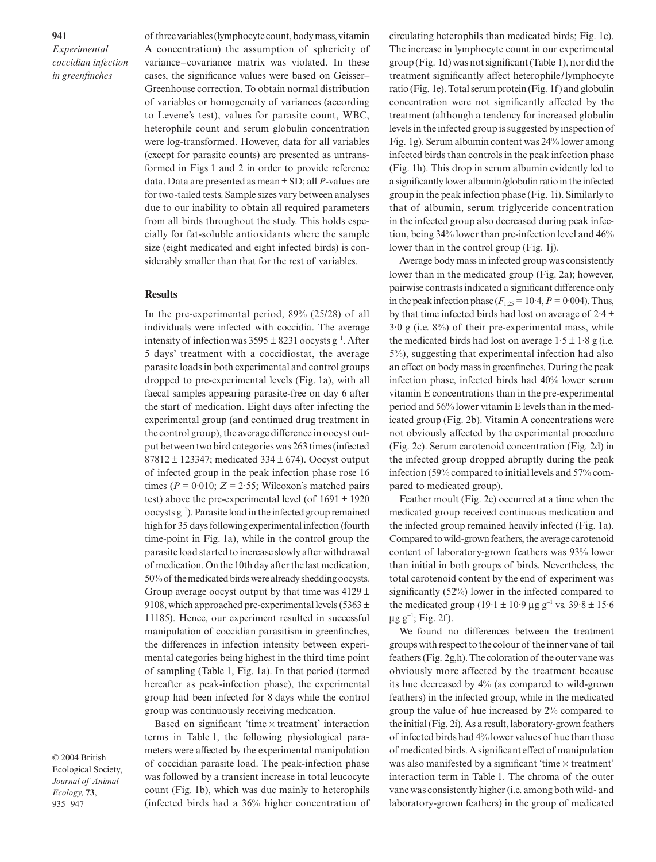of three variables (lymphocyte count, body mass, vitamin A concentration) the assumption of sphericity of variance–covariance matrix was violated. In these cases, the significance values were based on Geisser– Greenhouse correction. To obtain normal distribution of variables or homogeneity of variances (according to Levene's test), values for parasite count, WBC, heterophile count and serum globulin concentration were log-transformed. However, data for all variables (except for parasite counts) are presented as untransformed in Figs 1 and 2 in order to provide reference data. Data are presented as mean ± SD; all *P*-values are for two-tailed tests. Sample sizes vary between analyses due to our inability to obtain all required parameters from all birds throughout the study. This holds especially for fat-soluble antioxidants where the sample size (eight medicated and eight infected birds) is considerably smaller than that for the rest of variables.

#### **Results**

In the pre-experimental period, 89% (25/28) of all individuals were infected with coccidia. The average intensity of infection was  $3595 \pm 8231$  oocysts g<sup>-1</sup>. After 5 days' treatment with a coccidiostat, the average parasite loads in both experimental and control groups dropped to pre-experimental levels (Fig. 1a), with all faecal samples appearing parasite-free on day 6 after the start of medication. Eight days after infecting the experimental group (and continued drug treatment in the control group), the average difference in oocyst output between two bird categories was 263 times (infected  $87812 \pm 123347$ ; medicated  $334 \pm 674$ ). Oocyst output of infected group in the peak infection phase rose 16 times ( $P = 0.010$ ;  $Z = 2.55$ ; Wilcoxon's matched pairs test) above the pre-experimental level (of  $1691 \pm 1920$ oocysts g<sup>−</sup><sup>1</sup> ). Parasite load in the infected group remained high for 35 days following experimental infection (fourth time-point in Fig. 1a), while in the control group the parasite load started to increase slowly after withdrawal of medication. On the 10th day after the last medication, 50% of the medicated birds were already shedding oocysts. Group average oocyst output by that time was  $4129 \pm$ 9108, which approached pre-experimental levels (5363  $\pm$ 11185). Hence, our experiment resulted in successful manipulation of coccidian parasitism in greenfinches, the differences in infection intensity between experimental categories being highest in the third time point of sampling (Table 1, Fig. 1a). In that period (termed hereafter as peak-infection phase), the experimental group had been infected for 8 days while the control group was continuously receiving medication.

Based on significant 'time × treatment' interaction terms in Table 1, the following physiological parameters were affected by the experimental manipulation of coccidian parasite load. The peak-infection phase was followed by a transient increase in total leucocyte count (Fig. 1b), which was due mainly to heterophils (infected birds had a 36% higher concentration of circulating heterophils than medicated birds; Fig. 1c). The increase in lymphocyte count in our experimental group (Fig. 1d) was not significant (Table 1), nor did the treatment significantly affect heterophile/lymphocyte ratio (Fig. 1e). Total serum protein (Fig. 1f) and globulin concentration were not significantly affected by the treatment (although a tendency for increased globulin levels in the infected group is suggested by inspection of Fig. 1g). Serum albumin content was 24% lower among infected birds than controls in the peak infection phase (Fig. 1h). This drop in serum albumin evidently led to a significantly lower albumin/globulin ratio in the infected group in the peak infection phase (Fig. 1i). Similarly to that of albumin, serum triglyceride concentration in the infected group also decreased during peak infection, being 34% lower than pre-infection level and 46% lower than in the control group (Fig. 1j).

Average body mass in infected group was consistently lower than in the medicated group (Fig. 2a); however, pairwise contrasts indicated a significant difference only in the peak infection phase  $(F_{1:25} = 10.4, P = 0.004)$ . Thus, by that time infected birds had lost on average of  $2.4 \pm$  $3.0 \text{ g}$  (i.e.  $8\%$ ) of their pre-experimental mass, while the medicated birds had lost on average  $1.5 \pm 1.8$  g (i.e. 5%), suggesting that experimental infection had also an effect on body mass in greenfinches. During the peak infection phase, infected birds had 40% lower serum vitamin E concentrations than in the pre-experimental period and 56% lower vitamin E levels than in the medicated group (Fig. 2b). Vitamin A concentrations were not obviously affected by the experimental procedure (Fig. 2c). Serum carotenoid concentration (Fig. 2d) in the infected group dropped abruptly during the peak infection (59% compared to initial levels and 57% compared to medicated group).

Feather moult (Fig. 2e) occurred at a time when the medicated group received continuous medication and the infected group remained heavily infected (Fig. 1a). Compared to wild-grown feathers, the average carotenoid content of laboratory-grown feathers was 93% lower than initial in both groups of birds. Nevertheless, the total carotenoid content by the end of experiment was significantly (52%) lower in the infected compared to the medicated group (19·1 ± 10·9 µg g<sup>-1</sup> vs. 39·8 ± 15·6  $\mu$ g g<sup>-1</sup>; Fig. 2f).

We found no differences between the treatment groups with respect to the colour of the inner vane of tail feathers (Fig. 2g,h). The coloration of the outer vane was obviously more affected by the treatment because its hue decreased by 4% (as compared to wild-grown feathers) in the infected group, while in the medicated group the value of hue increased by 2% compared to the initial (Fig. 2i). As a result, laboratory-grown feathers of infected birds had 4% lower values of hue than those of medicated birds. A significant effect of manipulation was also manifested by a significant 'time  $\times$  treatment' interaction term in Table 1. The chroma of the outer vane was consistently higher (i.e. among both wild- and laboratory-grown feathers) in the group of medicated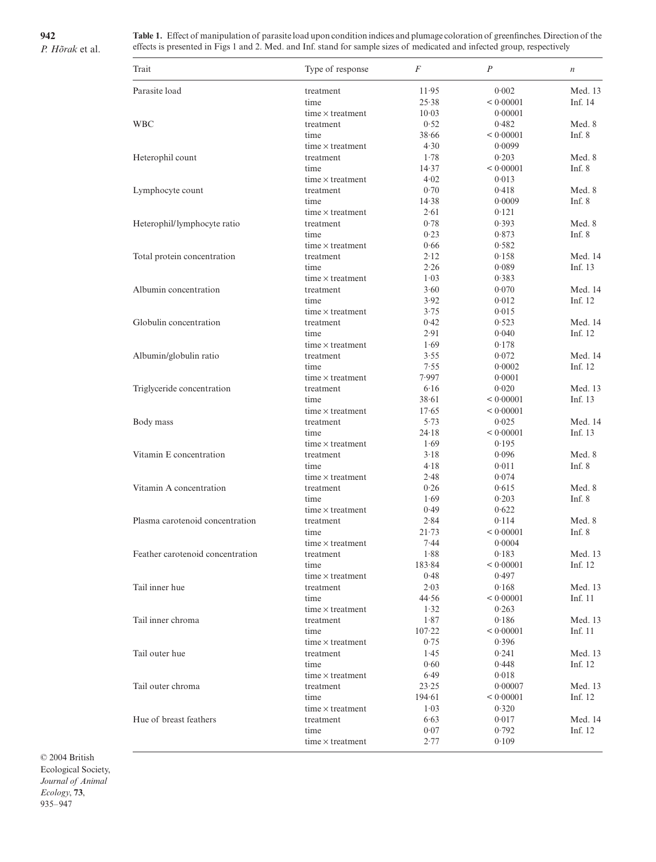**942**

*P. Hõrak* et al.

**Table 1.** Effect of manipulation of parasite load upon condition indices and plumage coloration of greenfinches. Direction of the effects is presented in Figs 1 and 2. Med. and Inf. stand for sample sizes of medicated and infected group, respectively

| Parasite load<br>0.002<br>11.95<br>treatment<br>Inf. 14<br>< 0.00001<br>time<br>25.38<br>10.03<br>0.00001<br>time $\times$ treatment<br>0.52<br>Med. 8<br><b>WBC</b><br>0.482<br>treatment<br>Inf. $8$<br>time<br>38.66<br>< 0.00001<br>4.30<br>time $\times$ treatment<br>0.0099<br>Med. 8<br>Heterophil count<br>1.78<br>0.203<br>treatment<br>Inf. $8$<br>time<br>14.37<br>< 0.00001<br>4.02<br>0.013<br>time $\times$ treatment<br>0.70<br>Med. 8<br>0.418<br>Lymphocyte count<br>treatment<br>Inf. $8$<br>time<br>14.38<br>0.0009<br>2.61<br>0.121<br>time $\times$ treatment<br>0.78<br>Med. 8<br>Heterophil/lymphocyte ratio<br>0.393<br>treatment<br>0.23<br>0.873<br>Inf. $8$<br>time<br>0.66<br>0.582<br>time $\times$ treatment<br>2.12<br>Total protein concentration<br>0.158<br>treatment<br>2.26<br>Inf. 13<br>time<br>0.089<br>1.03<br>0.383<br>time $\times$ treatment<br>3.60<br>0.070<br>Med. 14<br>Albumin concentration<br>treatment<br>Inf. 12<br>3.92<br>0.012<br>time<br>3.75<br>0.015<br>time $\times$ treatment<br>Globulin concentration<br>0.42<br>0.523<br>Med. 14<br>treatment<br>Inf. 12<br>time<br>2.91<br>0.040<br>0.178<br>time $\times$ treatment<br>1.69<br>Med. 14<br>Albumin/globulin ratio<br>3.55<br>0.072<br>treatment<br>Inf. 12<br>7.55<br>time<br>0.0002<br>7.997<br>0.0001<br>time $\times$ treatment<br>Triglyceride concentration<br>Med. 13<br>6.16<br>0.020<br>treatment<br>Inf. 13<br>time<br>38.61<br>< 0.00001<br>time $\times$ treatment<br>17.65<br>< 0.00001<br>5.73<br>Med. 14<br>Body mass<br>0.025<br>treatment<br>Inf. $13$<br>time<br>24.18<br>< 0.00001<br>1.69<br>0.195<br>time $\times$ treatment<br>Vitamin E concentration<br>Med. 8<br>3.18<br>0.096<br>treatment<br>Inf. $8$<br>time<br>4.18<br>0.011<br>time $\times$ treatment<br>2.48<br>0.074<br>Vitamin A concentration<br>Med. 8<br>0.26<br>0.615<br>treatment<br>Inf. $8$<br>time<br>1.69<br>0.203<br>0.622<br>time $\times$ treatment<br>0.49<br>Plasma carotenoid concentration<br>Med. 8<br>2.84<br>0.114<br>treatment<br>Inf. $8$<br>time<br>$21 - 73$<br>< 0.00001<br>7.44<br>0.0004<br>time $\times$ treatment<br>1.88<br>0.183<br>Med. 13<br>Feather carotenoid concentration<br>treatment<br>Inf. 12<br>time<br>183.84<br>< 0.00001<br>0.48<br>0.497<br>time $\times$ treatment<br>Tail inner hue<br>2.03<br>0.168<br>Med. 13<br>treatment<br>Inf. $11$<br>44.56<br>< 0.00001<br>time<br>1.32<br>0.263<br>time $\times$ treatment<br>Tail inner chroma<br>1.87<br>0.186<br>Med. 13<br>treatment<br>107.22<br>< 0.00001<br>Inf. $11$<br>time<br>0.75<br>0.396<br>time $\times$ treatment<br>Tail outer hue<br>1.45<br>0.241<br>Med. 13<br>treatment<br>Inf. $12$<br>0.60<br>0.448<br>time<br>0.018<br>6.49<br>time $\times$ treatment<br>Tail outer chroma<br>23.25<br>0.00007<br>treatment<br>194.61<br>< 0.00001<br>Inf. 12<br>time<br>1.03<br>0.320<br>time $\times$ treatment<br>Hue of breast feathers<br>6.63<br>0.017<br>treatment<br>Inf. $12$<br>time<br>0.07<br>0.792<br>2.77<br>0.109<br>time $\times$ treatment | Trait | Type of response | F | $\boldsymbol{P}$ | $\boldsymbol{n}$ |
|--------------------------------------------------------------------------------------------------------------------------------------------------------------------------------------------------------------------------------------------------------------------------------------------------------------------------------------------------------------------------------------------------------------------------------------------------------------------------------------------------------------------------------------------------------------------------------------------------------------------------------------------------------------------------------------------------------------------------------------------------------------------------------------------------------------------------------------------------------------------------------------------------------------------------------------------------------------------------------------------------------------------------------------------------------------------------------------------------------------------------------------------------------------------------------------------------------------------------------------------------------------------------------------------------------------------------------------------------------------------------------------------------------------------------------------------------------------------------------------------------------------------------------------------------------------------------------------------------------------------------------------------------------------------------------------------------------------------------------------------------------------------------------------------------------------------------------------------------------------------------------------------------------------------------------------------------------------------------------------------------------------------------------------------------------------------------------------------------------------------------------------------------------------------------------------------------------------------------------------------------------------------------------------------------------------------------------------------------------------------------------------------------------------------------------------------------------------------------------------------------------------------------------------------------------------------------------------------------------------------------------------------------------------------------------------------------------------------------------------------------------------------------------------------------------------------------------------------------------------------------------------------------------------------------------------------------------------------------------------------------------------------------------------------------------------|-------|------------------|---|------------------|------------------|
|                                                                                                                                                                                                                                                                                                                                                                                                                                                                                                                                                                                                                                                                                                                                                                                                                                                                                                                                                                                                                                                                                                                                                                                                                                                                                                                                                                                                                                                                                                                                                                                                                                                                                                                                                                                                                                                                                                                                                                                                                                                                                                                                                                                                                                                                                                                                                                                                                                                                                                                                                                                                                                                                                                                                                                                                                                                                                                                                                                                                                                                              |       |                  |   |                  | Med. 13          |
|                                                                                                                                                                                                                                                                                                                                                                                                                                                                                                                                                                                                                                                                                                                                                                                                                                                                                                                                                                                                                                                                                                                                                                                                                                                                                                                                                                                                                                                                                                                                                                                                                                                                                                                                                                                                                                                                                                                                                                                                                                                                                                                                                                                                                                                                                                                                                                                                                                                                                                                                                                                                                                                                                                                                                                                                                                                                                                                                                                                                                                                              |       |                  |   |                  |                  |
|                                                                                                                                                                                                                                                                                                                                                                                                                                                                                                                                                                                                                                                                                                                                                                                                                                                                                                                                                                                                                                                                                                                                                                                                                                                                                                                                                                                                                                                                                                                                                                                                                                                                                                                                                                                                                                                                                                                                                                                                                                                                                                                                                                                                                                                                                                                                                                                                                                                                                                                                                                                                                                                                                                                                                                                                                                                                                                                                                                                                                                                              |       |                  |   |                  |                  |
|                                                                                                                                                                                                                                                                                                                                                                                                                                                                                                                                                                                                                                                                                                                                                                                                                                                                                                                                                                                                                                                                                                                                                                                                                                                                                                                                                                                                                                                                                                                                                                                                                                                                                                                                                                                                                                                                                                                                                                                                                                                                                                                                                                                                                                                                                                                                                                                                                                                                                                                                                                                                                                                                                                                                                                                                                                                                                                                                                                                                                                                              |       |                  |   |                  |                  |
|                                                                                                                                                                                                                                                                                                                                                                                                                                                                                                                                                                                                                                                                                                                                                                                                                                                                                                                                                                                                                                                                                                                                                                                                                                                                                                                                                                                                                                                                                                                                                                                                                                                                                                                                                                                                                                                                                                                                                                                                                                                                                                                                                                                                                                                                                                                                                                                                                                                                                                                                                                                                                                                                                                                                                                                                                                                                                                                                                                                                                                                              |       |                  |   |                  |                  |
|                                                                                                                                                                                                                                                                                                                                                                                                                                                                                                                                                                                                                                                                                                                                                                                                                                                                                                                                                                                                                                                                                                                                                                                                                                                                                                                                                                                                                                                                                                                                                                                                                                                                                                                                                                                                                                                                                                                                                                                                                                                                                                                                                                                                                                                                                                                                                                                                                                                                                                                                                                                                                                                                                                                                                                                                                                                                                                                                                                                                                                                              |       |                  |   |                  |                  |
|                                                                                                                                                                                                                                                                                                                                                                                                                                                                                                                                                                                                                                                                                                                                                                                                                                                                                                                                                                                                                                                                                                                                                                                                                                                                                                                                                                                                                                                                                                                                                                                                                                                                                                                                                                                                                                                                                                                                                                                                                                                                                                                                                                                                                                                                                                                                                                                                                                                                                                                                                                                                                                                                                                                                                                                                                                                                                                                                                                                                                                                              |       |                  |   |                  |                  |
|                                                                                                                                                                                                                                                                                                                                                                                                                                                                                                                                                                                                                                                                                                                                                                                                                                                                                                                                                                                                                                                                                                                                                                                                                                                                                                                                                                                                                                                                                                                                                                                                                                                                                                                                                                                                                                                                                                                                                                                                                                                                                                                                                                                                                                                                                                                                                                                                                                                                                                                                                                                                                                                                                                                                                                                                                                                                                                                                                                                                                                                              |       |                  |   |                  |                  |
|                                                                                                                                                                                                                                                                                                                                                                                                                                                                                                                                                                                                                                                                                                                                                                                                                                                                                                                                                                                                                                                                                                                                                                                                                                                                                                                                                                                                                                                                                                                                                                                                                                                                                                                                                                                                                                                                                                                                                                                                                                                                                                                                                                                                                                                                                                                                                                                                                                                                                                                                                                                                                                                                                                                                                                                                                                                                                                                                                                                                                                                              |       |                  |   |                  |                  |
|                                                                                                                                                                                                                                                                                                                                                                                                                                                                                                                                                                                                                                                                                                                                                                                                                                                                                                                                                                                                                                                                                                                                                                                                                                                                                                                                                                                                                                                                                                                                                                                                                                                                                                                                                                                                                                                                                                                                                                                                                                                                                                                                                                                                                                                                                                                                                                                                                                                                                                                                                                                                                                                                                                                                                                                                                                                                                                                                                                                                                                                              |       |                  |   |                  |                  |
|                                                                                                                                                                                                                                                                                                                                                                                                                                                                                                                                                                                                                                                                                                                                                                                                                                                                                                                                                                                                                                                                                                                                                                                                                                                                                                                                                                                                                                                                                                                                                                                                                                                                                                                                                                                                                                                                                                                                                                                                                                                                                                                                                                                                                                                                                                                                                                                                                                                                                                                                                                                                                                                                                                                                                                                                                                                                                                                                                                                                                                                              |       |                  |   |                  |                  |
|                                                                                                                                                                                                                                                                                                                                                                                                                                                                                                                                                                                                                                                                                                                                                                                                                                                                                                                                                                                                                                                                                                                                                                                                                                                                                                                                                                                                                                                                                                                                                                                                                                                                                                                                                                                                                                                                                                                                                                                                                                                                                                                                                                                                                                                                                                                                                                                                                                                                                                                                                                                                                                                                                                                                                                                                                                                                                                                                                                                                                                                              |       |                  |   |                  |                  |
|                                                                                                                                                                                                                                                                                                                                                                                                                                                                                                                                                                                                                                                                                                                                                                                                                                                                                                                                                                                                                                                                                                                                                                                                                                                                                                                                                                                                                                                                                                                                                                                                                                                                                                                                                                                                                                                                                                                                                                                                                                                                                                                                                                                                                                                                                                                                                                                                                                                                                                                                                                                                                                                                                                                                                                                                                                                                                                                                                                                                                                                              |       |                  |   |                  |                  |
|                                                                                                                                                                                                                                                                                                                                                                                                                                                                                                                                                                                                                                                                                                                                                                                                                                                                                                                                                                                                                                                                                                                                                                                                                                                                                                                                                                                                                                                                                                                                                                                                                                                                                                                                                                                                                                                                                                                                                                                                                                                                                                                                                                                                                                                                                                                                                                                                                                                                                                                                                                                                                                                                                                                                                                                                                                                                                                                                                                                                                                                              |       |                  |   |                  |                  |
|                                                                                                                                                                                                                                                                                                                                                                                                                                                                                                                                                                                                                                                                                                                                                                                                                                                                                                                                                                                                                                                                                                                                                                                                                                                                                                                                                                                                                                                                                                                                                                                                                                                                                                                                                                                                                                                                                                                                                                                                                                                                                                                                                                                                                                                                                                                                                                                                                                                                                                                                                                                                                                                                                                                                                                                                                                                                                                                                                                                                                                                              |       |                  |   |                  |                  |
|                                                                                                                                                                                                                                                                                                                                                                                                                                                                                                                                                                                                                                                                                                                                                                                                                                                                                                                                                                                                                                                                                                                                                                                                                                                                                                                                                                                                                                                                                                                                                                                                                                                                                                                                                                                                                                                                                                                                                                                                                                                                                                                                                                                                                                                                                                                                                                                                                                                                                                                                                                                                                                                                                                                                                                                                                                                                                                                                                                                                                                                              |       |                  |   |                  | Med. 14          |
|                                                                                                                                                                                                                                                                                                                                                                                                                                                                                                                                                                                                                                                                                                                                                                                                                                                                                                                                                                                                                                                                                                                                                                                                                                                                                                                                                                                                                                                                                                                                                                                                                                                                                                                                                                                                                                                                                                                                                                                                                                                                                                                                                                                                                                                                                                                                                                                                                                                                                                                                                                                                                                                                                                                                                                                                                                                                                                                                                                                                                                                              |       |                  |   |                  |                  |
|                                                                                                                                                                                                                                                                                                                                                                                                                                                                                                                                                                                                                                                                                                                                                                                                                                                                                                                                                                                                                                                                                                                                                                                                                                                                                                                                                                                                                                                                                                                                                                                                                                                                                                                                                                                                                                                                                                                                                                                                                                                                                                                                                                                                                                                                                                                                                                                                                                                                                                                                                                                                                                                                                                                                                                                                                                                                                                                                                                                                                                                              |       |                  |   |                  |                  |
|                                                                                                                                                                                                                                                                                                                                                                                                                                                                                                                                                                                                                                                                                                                                                                                                                                                                                                                                                                                                                                                                                                                                                                                                                                                                                                                                                                                                                                                                                                                                                                                                                                                                                                                                                                                                                                                                                                                                                                                                                                                                                                                                                                                                                                                                                                                                                                                                                                                                                                                                                                                                                                                                                                                                                                                                                                                                                                                                                                                                                                                              |       |                  |   |                  |                  |
|                                                                                                                                                                                                                                                                                                                                                                                                                                                                                                                                                                                                                                                                                                                                                                                                                                                                                                                                                                                                                                                                                                                                                                                                                                                                                                                                                                                                                                                                                                                                                                                                                                                                                                                                                                                                                                                                                                                                                                                                                                                                                                                                                                                                                                                                                                                                                                                                                                                                                                                                                                                                                                                                                                                                                                                                                                                                                                                                                                                                                                                              |       |                  |   |                  |                  |
|                                                                                                                                                                                                                                                                                                                                                                                                                                                                                                                                                                                                                                                                                                                                                                                                                                                                                                                                                                                                                                                                                                                                                                                                                                                                                                                                                                                                                                                                                                                                                                                                                                                                                                                                                                                                                                                                                                                                                                                                                                                                                                                                                                                                                                                                                                                                                                                                                                                                                                                                                                                                                                                                                                                                                                                                                                                                                                                                                                                                                                                              |       |                  |   |                  |                  |
|                                                                                                                                                                                                                                                                                                                                                                                                                                                                                                                                                                                                                                                                                                                                                                                                                                                                                                                                                                                                                                                                                                                                                                                                                                                                                                                                                                                                                                                                                                                                                                                                                                                                                                                                                                                                                                                                                                                                                                                                                                                                                                                                                                                                                                                                                                                                                                                                                                                                                                                                                                                                                                                                                                                                                                                                                                                                                                                                                                                                                                                              |       |                  |   |                  |                  |
|                                                                                                                                                                                                                                                                                                                                                                                                                                                                                                                                                                                                                                                                                                                                                                                                                                                                                                                                                                                                                                                                                                                                                                                                                                                                                                                                                                                                                                                                                                                                                                                                                                                                                                                                                                                                                                                                                                                                                                                                                                                                                                                                                                                                                                                                                                                                                                                                                                                                                                                                                                                                                                                                                                                                                                                                                                                                                                                                                                                                                                                              |       |                  |   |                  |                  |
|                                                                                                                                                                                                                                                                                                                                                                                                                                                                                                                                                                                                                                                                                                                                                                                                                                                                                                                                                                                                                                                                                                                                                                                                                                                                                                                                                                                                                                                                                                                                                                                                                                                                                                                                                                                                                                                                                                                                                                                                                                                                                                                                                                                                                                                                                                                                                                                                                                                                                                                                                                                                                                                                                                                                                                                                                                                                                                                                                                                                                                                              |       |                  |   |                  |                  |
|                                                                                                                                                                                                                                                                                                                                                                                                                                                                                                                                                                                                                                                                                                                                                                                                                                                                                                                                                                                                                                                                                                                                                                                                                                                                                                                                                                                                                                                                                                                                                                                                                                                                                                                                                                                                                                                                                                                                                                                                                                                                                                                                                                                                                                                                                                                                                                                                                                                                                                                                                                                                                                                                                                                                                                                                                                                                                                                                                                                                                                                              |       |                  |   |                  |                  |
|                                                                                                                                                                                                                                                                                                                                                                                                                                                                                                                                                                                                                                                                                                                                                                                                                                                                                                                                                                                                                                                                                                                                                                                                                                                                                                                                                                                                                                                                                                                                                                                                                                                                                                                                                                                                                                                                                                                                                                                                                                                                                                                                                                                                                                                                                                                                                                                                                                                                                                                                                                                                                                                                                                                                                                                                                                                                                                                                                                                                                                                              |       |                  |   |                  |                  |
|                                                                                                                                                                                                                                                                                                                                                                                                                                                                                                                                                                                                                                                                                                                                                                                                                                                                                                                                                                                                                                                                                                                                                                                                                                                                                                                                                                                                                                                                                                                                                                                                                                                                                                                                                                                                                                                                                                                                                                                                                                                                                                                                                                                                                                                                                                                                                                                                                                                                                                                                                                                                                                                                                                                                                                                                                                                                                                                                                                                                                                                              |       |                  |   |                  |                  |
|                                                                                                                                                                                                                                                                                                                                                                                                                                                                                                                                                                                                                                                                                                                                                                                                                                                                                                                                                                                                                                                                                                                                                                                                                                                                                                                                                                                                                                                                                                                                                                                                                                                                                                                                                                                                                                                                                                                                                                                                                                                                                                                                                                                                                                                                                                                                                                                                                                                                                                                                                                                                                                                                                                                                                                                                                                                                                                                                                                                                                                                              |       |                  |   |                  |                  |
|                                                                                                                                                                                                                                                                                                                                                                                                                                                                                                                                                                                                                                                                                                                                                                                                                                                                                                                                                                                                                                                                                                                                                                                                                                                                                                                                                                                                                                                                                                                                                                                                                                                                                                                                                                                                                                                                                                                                                                                                                                                                                                                                                                                                                                                                                                                                                                                                                                                                                                                                                                                                                                                                                                                                                                                                                                                                                                                                                                                                                                                              |       |                  |   |                  |                  |
|                                                                                                                                                                                                                                                                                                                                                                                                                                                                                                                                                                                                                                                                                                                                                                                                                                                                                                                                                                                                                                                                                                                                                                                                                                                                                                                                                                                                                                                                                                                                                                                                                                                                                                                                                                                                                                                                                                                                                                                                                                                                                                                                                                                                                                                                                                                                                                                                                                                                                                                                                                                                                                                                                                                                                                                                                                                                                                                                                                                                                                                              |       |                  |   |                  |                  |
|                                                                                                                                                                                                                                                                                                                                                                                                                                                                                                                                                                                                                                                                                                                                                                                                                                                                                                                                                                                                                                                                                                                                                                                                                                                                                                                                                                                                                                                                                                                                                                                                                                                                                                                                                                                                                                                                                                                                                                                                                                                                                                                                                                                                                                                                                                                                                                                                                                                                                                                                                                                                                                                                                                                                                                                                                                                                                                                                                                                                                                                              |       |                  |   |                  |                  |
|                                                                                                                                                                                                                                                                                                                                                                                                                                                                                                                                                                                                                                                                                                                                                                                                                                                                                                                                                                                                                                                                                                                                                                                                                                                                                                                                                                                                                                                                                                                                                                                                                                                                                                                                                                                                                                                                                                                                                                                                                                                                                                                                                                                                                                                                                                                                                                                                                                                                                                                                                                                                                                                                                                                                                                                                                                                                                                                                                                                                                                                              |       |                  |   |                  |                  |
|                                                                                                                                                                                                                                                                                                                                                                                                                                                                                                                                                                                                                                                                                                                                                                                                                                                                                                                                                                                                                                                                                                                                                                                                                                                                                                                                                                                                                                                                                                                                                                                                                                                                                                                                                                                                                                                                                                                                                                                                                                                                                                                                                                                                                                                                                                                                                                                                                                                                                                                                                                                                                                                                                                                                                                                                                                                                                                                                                                                                                                                              |       |                  |   |                  |                  |
|                                                                                                                                                                                                                                                                                                                                                                                                                                                                                                                                                                                                                                                                                                                                                                                                                                                                                                                                                                                                                                                                                                                                                                                                                                                                                                                                                                                                                                                                                                                                                                                                                                                                                                                                                                                                                                                                                                                                                                                                                                                                                                                                                                                                                                                                                                                                                                                                                                                                                                                                                                                                                                                                                                                                                                                                                                                                                                                                                                                                                                                              |       |                  |   |                  |                  |
|                                                                                                                                                                                                                                                                                                                                                                                                                                                                                                                                                                                                                                                                                                                                                                                                                                                                                                                                                                                                                                                                                                                                                                                                                                                                                                                                                                                                                                                                                                                                                                                                                                                                                                                                                                                                                                                                                                                                                                                                                                                                                                                                                                                                                                                                                                                                                                                                                                                                                                                                                                                                                                                                                                                                                                                                                                                                                                                                                                                                                                                              |       |                  |   |                  |                  |
|                                                                                                                                                                                                                                                                                                                                                                                                                                                                                                                                                                                                                                                                                                                                                                                                                                                                                                                                                                                                                                                                                                                                                                                                                                                                                                                                                                                                                                                                                                                                                                                                                                                                                                                                                                                                                                                                                                                                                                                                                                                                                                                                                                                                                                                                                                                                                                                                                                                                                                                                                                                                                                                                                                                                                                                                                                                                                                                                                                                                                                                              |       |                  |   |                  |                  |
|                                                                                                                                                                                                                                                                                                                                                                                                                                                                                                                                                                                                                                                                                                                                                                                                                                                                                                                                                                                                                                                                                                                                                                                                                                                                                                                                                                                                                                                                                                                                                                                                                                                                                                                                                                                                                                                                                                                                                                                                                                                                                                                                                                                                                                                                                                                                                                                                                                                                                                                                                                                                                                                                                                                                                                                                                                                                                                                                                                                                                                                              |       |                  |   |                  |                  |
|                                                                                                                                                                                                                                                                                                                                                                                                                                                                                                                                                                                                                                                                                                                                                                                                                                                                                                                                                                                                                                                                                                                                                                                                                                                                                                                                                                                                                                                                                                                                                                                                                                                                                                                                                                                                                                                                                                                                                                                                                                                                                                                                                                                                                                                                                                                                                                                                                                                                                                                                                                                                                                                                                                                                                                                                                                                                                                                                                                                                                                                              |       |                  |   |                  |                  |
|                                                                                                                                                                                                                                                                                                                                                                                                                                                                                                                                                                                                                                                                                                                                                                                                                                                                                                                                                                                                                                                                                                                                                                                                                                                                                                                                                                                                                                                                                                                                                                                                                                                                                                                                                                                                                                                                                                                                                                                                                                                                                                                                                                                                                                                                                                                                                                                                                                                                                                                                                                                                                                                                                                                                                                                                                                                                                                                                                                                                                                                              |       |                  |   |                  |                  |
|                                                                                                                                                                                                                                                                                                                                                                                                                                                                                                                                                                                                                                                                                                                                                                                                                                                                                                                                                                                                                                                                                                                                                                                                                                                                                                                                                                                                                                                                                                                                                                                                                                                                                                                                                                                                                                                                                                                                                                                                                                                                                                                                                                                                                                                                                                                                                                                                                                                                                                                                                                                                                                                                                                                                                                                                                                                                                                                                                                                                                                                              |       |                  |   |                  |                  |
|                                                                                                                                                                                                                                                                                                                                                                                                                                                                                                                                                                                                                                                                                                                                                                                                                                                                                                                                                                                                                                                                                                                                                                                                                                                                                                                                                                                                                                                                                                                                                                                                                                                                                                                                                                                                                                                                                                                                                                                                                                                                                                                                                                                                                                                                                                                                                                                                                                                                                                                                                                                                                                                                                                                                                                                                                                                                                                                                                                                                                                                              |       |                  |   |                  |                  |
|                                                                                                                                                                                                                                                                                                                                                                                                                                                                                                                                                                                                                                                                                                                                                                                                                                                                                                                                                                                                                                                                                                                                                                                                                                                                                                                                                                                                                                                                                                                                                                                                                                                                                                                                                                                                                                                                                                                                                                                                                                                                                                                                                                                                                                                                                                                                                                                                                                                                                                                                                                                                                                                                                                                                                                                                                                                                                                                                                                                                                                                              |       |                  |   |                  |                  |
|                                                                                                                                                                                                                                                                                                                                                                                                                                                                                                                                                                                                                                                                                                                                                                                                                                                                                                                                                                                                                                                                                                                                                                                                                                                                                                                                                                                                                                                                                                                                                                                                                                                                                                                                                                                                                                                                                                                                                                                                                                                                                                                                                                                                                                                                                                                                                                                                                                                                                                                                                                                                                                                                                                                                                                                                                                                                                                                                                                                                                                                              |       |                  |   |                  |                  |
|                                                                                                                                                                                                                                                                                                                                                                                                                                                                                                                                                                                                                                                                                                                                                                                                                                                                                                                                                                                                                                                                                                                                                                                                                                                                                                                                                                                                                                                                                                                                                                                                                                                                                                                                                                                                                                                                                                                                                                                                                                                                                                                                                                                                                                                                                                                                                                                                                                                                                                                                                                                                                                                                                                                                                                                                                                                                                                                                                                                                                                                              |       |                  |   |                  |                  |
|                                                                                                                                                                                                                                                                                                                                                                                                                                                                                                                                                                                                                                                                                                                                                                                                                                                                                                                                                                                                                                                                                                                                                                                                                                                                                                                                                                                                                                                                                                                                                                                                                                                                                                                                                                                                                                                                                                                                                                                                                                                                                                                                                                                                                                                                                                                                                                                                                                                                                                                                                                                                                                                                                                                                                                                                                                                                                                                                                                                                                                                              |       |                  |   |                  |                  |
|                                                                                                                                                                                                                                                                                                                                                                                                                                                                                                                                                                                                                                                                                                                                                                                                                                                                                                                                                                                                                                                                                                                                                                                                                                                                                                                                                                                                                                                                                                                                                                                                                                                                                                                                                                                                                                                                                                                                                                                                                                                                                                                                                                                                                                                                                                                                                                                                                                                                                                                                                                                                                                                                                                                                                                                                                                                                                                                                                                                                                                                              |       |                  |   |                  |                  |
|                                                                                                                                                                                                                                                                                                                                                                                                                                                                                                                                                                                                                                                                                                                                                                                                                                                                                                                                                                                                                                                                                                                                                                                                                                                                                                                                                                                                                                                                                                                                                                                                                                                                                                                                                                                                                                                                                                                                                                                                                                                                                                                                                                                                                                                                                                                                                                                                                                                                                                                                                                                                                                                                                                                                                                                                                                                                                                                                                                                                                                                              |       |                  |   |                  |                  |
|                                                                                                                                                                                                                                                                                                                                                                                                                                                                                                                                                                                                                                                                                                                                                                                                                                                                                                                                                                                                                                                                                                                                                                                                                                                                                                                                                                                                                                                                                                                                                                                                                                                                                                                                                                                                                                                                                                                                                                                                                                                                                                                                                                                                                                                                                                                                                                                                                                                                                                                                                                                                                                                                                                                                                                                                                                                                                                                                                                                                                                                              |       |                  |   |                  |                  |
|                                                                                                                                                                                                                                                                                                                                                                                                                                                                                                                                                                                                                                                                                                                                                                                                                                                                                                                                                                                                                                                                                                                                                                                                                                                                                                                                                                                                                                                                                                                                                                                                                                                                                                                                                                                                                                                                                                                                                                                                                                                                                                                                                                                                                                                                                                                                                                                                                                                                                                                                                                                                                                                                                                                                                                                                                                                                                                                                                                                                                                                              |       |                  |   |                  |                  |
|                                                                                                                                                                                                                                                                                                                                                                                                                                                                                                                                                                                                                                                                                                                                                                                                                                                                                                                                                                                                                                                                                                                                                                                                                                                                                                                                                                                                                                                                                                                                                                                                                                                                                                                                                                                                                                                                                                                                                                                                                                                                                                                                                                                                                                                                                                                                                                                                                                                                                                                                                                                                                                                                                                                                                                                                                                                                                                                                                                                                                                                              |       |                  |   |                  |                  |
|                                                                                                                                                                                                                                                                                                                                                                                                                                                                                                                                                                                                                                                                                                                                                                                                                                                                                                                                                                                                                                                                                                                                                                                                                                                                                                                                                                                                                                                                                                                                                                                                                                                                                                                                                                                                                                                                                                                                                                                                                                                                                                                                                                                                                                                                                                                                                                                                                                                                                                                                                                                                                                                                                                                                                                                                                                                                                                                                                                                                                                                              |       |                  |   |                  |                  |
|                                                                                                                                                                                                                                                                                                                                                                                                                                                                                                                                                                                                                                                                                                                                                                                                                                                                                                                                                                                                                                                                                                                                                                                                                                                                                                                                                                                                                                                                                                                                                                                                                                                                                                                                                                                                                                                                                                                                                                                                                                                                                                                                                                                                                                                                                                                                                                                                                                                                                                                                                                                                                                                                                                                                                                                                                                                                                                                                                                                                                                                              |       |                  |   |                  |                  |
|                                                                                                                                                                                                                                                                                                                                                                                                                                                                                                                                                                                                                                                                                                                                                                                                                                                                                                                                                                                                                                                                                                                                                                                                                                                                                                                                                                                                                                                                                                                                                                                                                                                                                                                                                                                                                                                                                                                                                                                                                                                                                                                                                                                                                                                                                                                                                                                                                                                                                                                                                                                                                                                                                                                                                                                                                                                                                                                                                                                                                                                              |       |                  |   |                  |                  |
|                                                                                                                                                                                                                                                                                                                                                                                                                                                                                                                                                                                                                                                                                                                                                                                                                                                                                                                                                                                                                                                                                                                                                                                                                                                                                                                                                                                                                                                                                                                                                                                                                                                                                                                                                                                                                                                                                                                                                                                                                                                                                                                                                                                                                                                                                                                                                                                                                                                                                                                                                                                                                                                                                                                                                                                                                                                                                                                                                                                                                                                              |       |                  |   |                  |                  |
|                                                                                                                                                                                                                                                                                                                                                                                                                                                                                                                                                                                                                                                                                                                                                                                                                                                                                                                                                                                                                                                                                                                                                                                                                                                                                                                                                                                                                                                                                                                                                                                                                                                                                                                                                                                                                                                                                                                                                                                                                                                                                                                                                                                                                                                                                                                                                                                                                                                                                                                                                                                                                                                                                                                                                                                                                                                                                                                                                                                                                                                              |       |                  |   |                  |                  |
|                                                                                                                                                                                                                                                                                                                                                                                                                                                                                                                                                                                                                                                                                                                                                                                                                                                                                                                                                                                                                                                                                                                                                                                                                                                                                                                                                                                                                                                                                                                                                                                                                                                                                                                                                                                                                                                                                                                                                                                                                                                                                                                                                                                                                                                                                                                                                                                                                                                                                                                                                                                                                                                                                                                                                                                                                                                                                                                                                                                                                                                              |       |                  |   |                  | Med. 13          |
|                                                                                                                                                                                                                                                                                                                                                                                                                                                                                                                                                                                                                                                                                                                                                                                                                                                                                                                                                                                                                                                                                                                                                                                                                                                                                                                                                                                                                                                                                                                                                                                                                                                                                                                                                                                                                                                                                                                                                                                                                                                                                                                                                                                                                                                                                                                                                                                                                                                                                                                                                                                                                                                                                                                                                                                                                                                                                                                                                                                                                                                              |       |                  |   |                  |                  |
|                                                                                                                                                                                                                                                                                                                                                                                                                                                                                                                                                                                                                                                                                                                                                                                                                                                                                                                                                                                                                                                                                                                                                                                                                                                                                                                                                                                                                                                                                                                                                                                                                                                                                                                                                                                                                                                                                                                                                                                                                                                                                                                                                                                                                                                                                                                                                                                                                                                                                                                                                                                                                                                                                                                                                                                                                                                                                                                                                                                                                                                              |       |                  |   |                  |                  |
|                                                                                                                                                                                                                                                                                                                                                                                                                                                                                                                                                                                                                                                                                                                                                                                                                                                                                                                                                                                                                                                                                                                                                                                                                                                                                                                                                                                                                                                                                                                                                                                                                                                                                                                                                                                                                                                                                                                                                                                                                                                                                                                                                                                                                                                                                                                                                                                                                                                                                                                                                                                                                                                                                                                                                                                                                                                                                                                                                                                                                                                              |       |                  |   |                  | Med. 14          |
|                                                                                                                                                                                                                                                                                                                                                                                                                                                                                                                                                                                                                                                                                                                                                                                                                                                                                                                                                                                                                                                                                                                                                                                                                                                                                                                                                                                                                                                                                                                                                                                                                                                                                                                                                                                                                                                                                                                                                                                                                                                                                                                                                                                                                                                                                                                                                                                                                                                                                                                                                                                                                                                                                                                                                                                                                                                                                                                                                                                                                                                              |       |                  |   |                  |                  |
|                                                                                                                                                                                                                                                                                                                                                                                                                                                                                                                                                                                                                                                                                                                                                                                                                                                                                                                                                                                                                                                                                                                                                                                                                                                                                                                                                                                                                                                                                                                                                                                                                                                                                                                                                                                                                                                                                                                                                                                                                                                                                                                                                                                                                                                                                                                                                                                                                                                                                                                                                                                                                                                                                                                                                                                                                                                                                                                                                                                                                                                              |       |                  |   |                  |                  |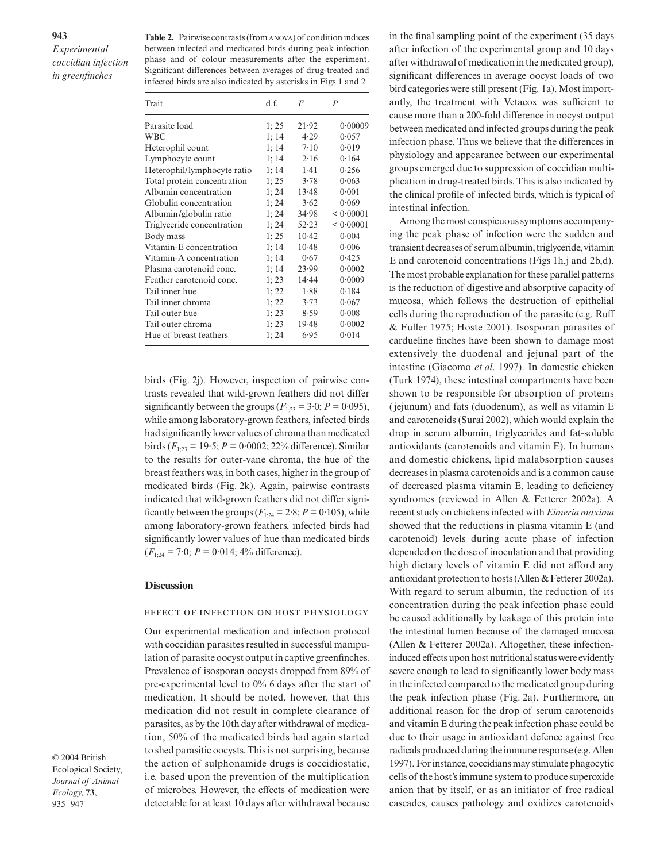Table 2. Pairwise contrasts (from ANOVA) of condition indices between infected and medicated birds during peak infection phase and of colour measurements after the experiment. Significant differences between averages of drug-treated and infected birds are also indicated by asterisks in Figs 1 and 2

| Trait                       | d.f.  | F       | $\boldsymbol{P}$ |
|-----------------------------|-------|---------|------------------|
| Parasite load               | 1; 25 | 21.92   | 0.00009          |
| <b>WBC</b>                  | 1:14  | 4.29    | 0.057            |
| Heterophil count            | 1:14  | 7.10    | 0.019            |
| Lymphocyte count            | 1; 14 | 2.16    | 0.164            |
| Heterophil/lymphocyte ratio | 1:14  | 1.41    | 0.256            |
| Total protein concentration | 1:25  | 3.78    | 0.063            |
| Albumin concentration       | 1; 24 | 13.48   | 0.001            |
| Globulin concentration      | 1:24  | 3.62    | 0.069            |
| Albumin/globulin ratio      | 1:24  | 34.98   | < 0.00001        |
| Triglyceride concentration  | 1; 24 | 52.23   | < 0.00001        |
| Body mass                   | 1:25  | $10-42$ | 0.004            |
| Vitamin-E concentration     | 1:14  | $10-48$ | 0.006            |
| Vitamin-A concentration     | 1; 14 | 0.67    | 0.425            |
| Plasma carotenoid conc.     | 1:14  | 23.99   | 0.0002           |
| Feather carotenoid conc.    | 1; 23 | 14.44   | 0.0009           |
| Tail inner hue              | 1; 22 | 1.88    | 0.184            |
| Tail inner chroma           | 1:22  | 3.73    | 0.067            |
| Tail outer hue              | 1; 23 | 8.59    | 0.008            |
| Tail outer chroma           | 1; 23 | 19.48   | 0.0002           |
| Hue of breast feathers      | 1:24  | 6.95    | 0.014            |

birds (Fig. 2j). However, inspection of pairwise contrasts revealed that wild-grown feathers did not differ significantly between the groups  $(F_{1:23} = 3.0; P = 0.095)$ , while among laboratory-grown feathers, infected birds had significantly lower values of chroma than medicated birds  $(F_{1:23} = 19.5; P = 0.0002; 22\%$  difference). Similar to the results for outer-vane chroma, the hue of the breast feathers was, in both cases, higher in the group of medicated birds (Fig. 2k). Again, pairwise contrasts indicated that wild-grown feathers did not differ significantly between the groups  $(F_{1:24} = 2.8; P = 0.105)$ , while among laboratory-grown feathers, infected birds had significantly lower values of hue than medicated birds  $(F_{1:24} = 7.0; P = 0.014; 4\%$  difference).

#### **Discussion**

#### EFFECT OF INFECTION ON HOST PHYSIOLOGY

Our experimental medication and infection protocol with coccidian parasites resulted in successful manipulation of parasite oocyst output in captive greenfinches. Prevalence of isosporan oocysts dropped from 89% of pre-experimental level to 0% 6 days after the start of medication. It should be noted, however, that this medication did not result in complete clearance of parasites, as by the 10th day after withdrawal of medication, 50% of the medicated birds had again started to shed parasitic oocysts. This is not surprising, because the action of sulphonamide drugs is coccidiostatic, i.e. based upon the prevention of the multiplication of microbes. However, the effects of medication were detectable for at least 10 days after withdrawal because

© 2004 British Ecological Society, *Journal of Animal Ecology*, **73**, 935–947

in the final sampling point of the experiment (35 days after infection of the experimental group and 10 days after withdrawal of medication in the medicated group), significant differences in average oocyst loads of two bird categories were still present (Fig. 1a). Most importantly, the treatment with Vetacox was sufficient to cause more than a 200-fold difference in oocyst output between medicated and infected groups during the peak infection phase. Thus we believe that the differences in physiology and appearance between our experimental groups emerged due to suppression of coccidian multiplication in drug-treated birds. This is also indicated by the clinical profile of infected birds, which is typical of intestinal infection.

Among the most conspicuous symptoms accompanying the peak phase of infection were the sudden and transient decreases of serum albumin, triglyceride, vitamin E and carotenoid concentrations (Figs 1h,j and 2b,d). The most probable explanation for these parallel patterns is the reduction of digestive and absorptive capacity of mucosa, which follows the destruction of epithelial cells during the reproduction of the parasite (e.g. Ruff & Fuller 1975; Hoste 2001). Isosporan parasites of cardueline finches have been shown to damage most extensively the duodenal and jejunal part of the intestine (Giacomo *et al*. 1997). In domestic chicken (Turk 1974), these intestinal compartments have been shown to be responsible for absorption of proteins (jejunum) and fats (duodenum), as well as vitamin E and carotenoids (Surai 2002), which would explain the drop in serum albumin, triglycerides and fat-soluble antioxidants (carotenoids and vitamin E). In humans and domestic chickens, lipid malabsorption causes decreases in plasma carotenoids and is a common cause of decreased plasma vitamin E, leading to deficiency syndromes (reviewed in Allen & Fetterer 2002a). A recent study on chickens infected with *Eimeria maxima* showed that the reductions in plasma vitamin E (and carotenoid) levels during acute phase of infection depended on the dose of inoculation and that providing high dietary levels of vitamin E did not afford any antioxidant protection to hosts (Allen & Fetterer 2002a). With regard to serum albumin, the reduction of its concentration during the peak infection phase could be caused additionally by leakage of this protein into the intestinal lumen because of the damaged mucosa (Allen & Fetterer 2002a). Altogether, these infectioninduced effects upon host nutritional status were evidently severe enough to lead to significantly lower body mass in the infected compared to the medicated group during the peak infection phase (Fig. 2a). Furthermore, an additional reason for the drop of serum carotenoids and vitamin E during the peak infection phase could be due to their usage in antioxidant defence against free radicals produced during the immune response (e.g. Allen 1997). For instance, coccidians may stimulate phagocytic cells of the host's immune system to produce superoxide anion that by itself, or as an initiator of free radical cascades, causes pathology and oxidizes carotenoids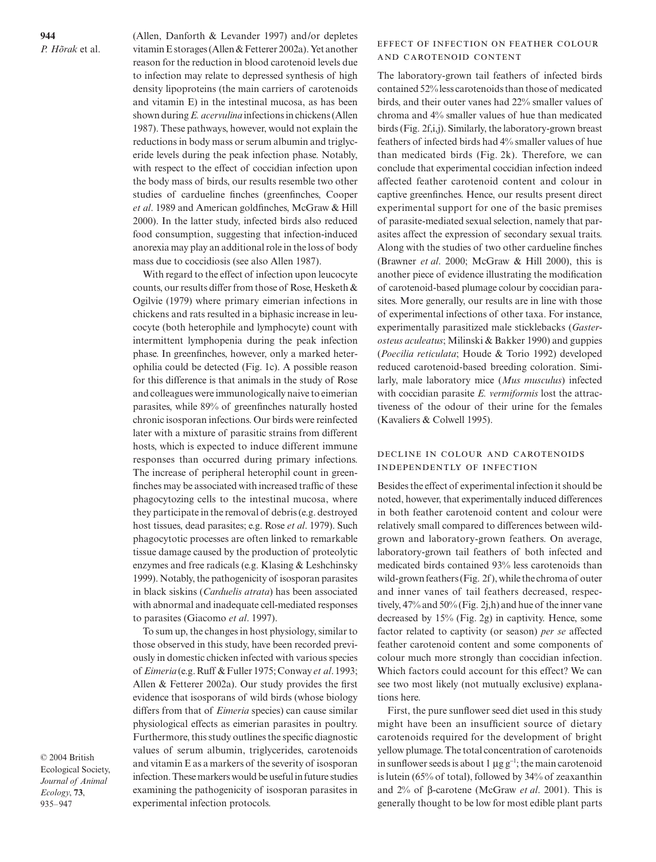**944** *P. Hõrak* et al. (Allen, Danforth & Levander 1997) and/or depletes vitamin E storages (Allen & Fetterer 2002a). Yet another reason for the reduction in blood carotenoid levels due to infection may relate to depressed synthesis of high density lipoproteins (the main carriers of carotenoids and vitamin E) in the intestinal mucosa, as has been shown during *E. acervulina* infections in chickens (Allen 1987). These pathways, however, would not explain the reductions in body mass or serum albumin and triglyceride levels during the peak infection phase. Notably, with respect to the effect of coccidian infection upon the body mass of birds, our results resemble two other studies of cardueline finches (greenfinches, Cooper *et al*. 1989 and American goldfinches, McGraw & Hill 2000). In the latter study, infected birds also reduced food consumption, suggesting that infection-induced anorexia may play an additional role in the loss of body mass due to coccidiosis (see also Allen 1987).

With regard to the effect of infection upon leucocyte counts, our results differ from those of Rose, Hesketh & Ogilvie (1979) where primary eimerian infections in chickens and rats resulted in a biphasic increase in leucocyte (both heterophile and lymphocyte) count with intermittent lymphopenia during the peak infection phase. In greenfinches, however, only a marked heterophilia could be detected (Fig. 1c). A possible reason for this difference is that animals in the study of Rose and colleagues were immunologically naive to eimerian parasites, while 89% of greenfinches naturally hosted chronic isosporan infections. Our birds were reinfected later with a mixture of parasitic strains from different hosts, which is expected to induce different immune responses than occurred during primary infections. The increase of peripheral heterophil count in greenfinches may be associated with increased traffic of these phagocytozing cells to the intestinal mucosa, where they participate in the removal of debris (e.g. destroyed host tissues, dead parasites; e.g. Rose *et al*. 1979). Such phagocytotic processes are often linked to remarkable tissue damage caused by the production of proteolytic enzymes and free radicals (e.g. Klasing & Leshchinsky 1999). Notably, the pathogenicity of isosporan parasites in black siskins (*Carduelis atrata*) has been associated with abnormal and inadequate cell-mediated responses to parasites (Giacomo *et al*. 1997).

To sum up, the changes in host physiology, similar to those observed in this study, have been recorded previously in domestic chicken infected with various species of *Eimeria* (e.g. Ruff & Fuller 1975; Conway *et al*. 1993; Allen & Fetterer 2002a). Our study provides the first evidence that isosporans of wild birds (whose biology differs from that of *Eimeria* species) can cause similar physiological effects as eimerian parasites in poultry. Furthermore, this study outlines the specific diagnostic values of serum albumin, triglycerides, carotenoids and vitamin E as a markers of the severity of isosporan infection. These markers would be useful in future studies examining the pathogenicity of isosporan parasites in experimental infection protocols.

© 2004 British Ecological Society, *Journal of Animal Ecology*, **73**, 935–947

# EFFECT OF INFECTION ON FEATHER COLOUR AND CAROTENOID CONTENT

The laboratory-grown tail feathers of infected birds contained 52% less carotenoids than those of medicated birds, and their outer vanes had 22% smaller values of chroma and 4% smaller values of hue than medicated birds (Fig. 2f,i,j). Similarly, the laboratory-grown breast feathers of infected birds had 4% smaller values of hue than medicated birds (Fig. 2k). Therefore, we can conclude that experimental coccidian infection indeed affected feather carotenoid content and colour in captive greenfinches. Hence, our results present direct experimental support for one of the basic premises of parasite-mediated sexual selection, namely that parasites affect the expression of secondary sexual traits. Along with the studies of two other cardueline finches (Brawner *et al*. 2000; McGraw & Hill 2000), this is another piece of evidence illustrating the modification of carotenoid-based plumage colour by coccidian parasites. More generally, our results are in line with those of experimental infections of other taxa. For instance, experimentally parasitized male sticklebacks (*Gasterosteus aculeatus*; Milinski & Bakker 1990) and guppies (*Poecilia reticulata*; Houde & Torio 1992) developed reduced carotenoid-based breeding coloration. Similarly, male laboratory mice (*Mus musculus*) infected with coccidian parasite *E. vermiformis* lost the attractiveness of the odour of their urine for the females (Kavaliers & Colwell 1995).

# DECLINE IN COLOUR AND CAROTENOIDS INDEPENDENTLY OF INFECTION

Besides the effect of experimental infection it should be noted, however, that experimentally induced differences in both feather carotenoid content and colour were relatively small compared to differences between wildgrown and laboratory-grown feathers. On average, laboratory-grown tail feathers of both infected and medicated birds contained 93% less carotenoids than wild-grown feathers (Fig. 2f), while the chroma of outer and inner vanes of tail feathers decreased, respectively, 47% and 50% (Fig. 2j,h) and hue of the inner vane decreased by 15% (Fig. 2g) in captivity. Hence, some factor related to captivity (or season) *per se* affected feather carotenoid content and some components of colour much more strongly than coccidian infection. Which factors could account for this effect? We can see two most likely (not mutually exclusive) explanations here.

First, the pure sunflower seed diet used in this study might have been an insufficient source of dietary carotenoids required for the development of bright yellow plumage. The total concentration of carotenoids in sunflower seeds is about 1 µg g<sup>−</sup><sup>1</sup> ; the main carotenoid is lutein (65% of total), followed by 34% of zeaxanthin and 2% of β-carotene (McGraw *et al*. 2001). This is generally thought to be low for most edible plant parts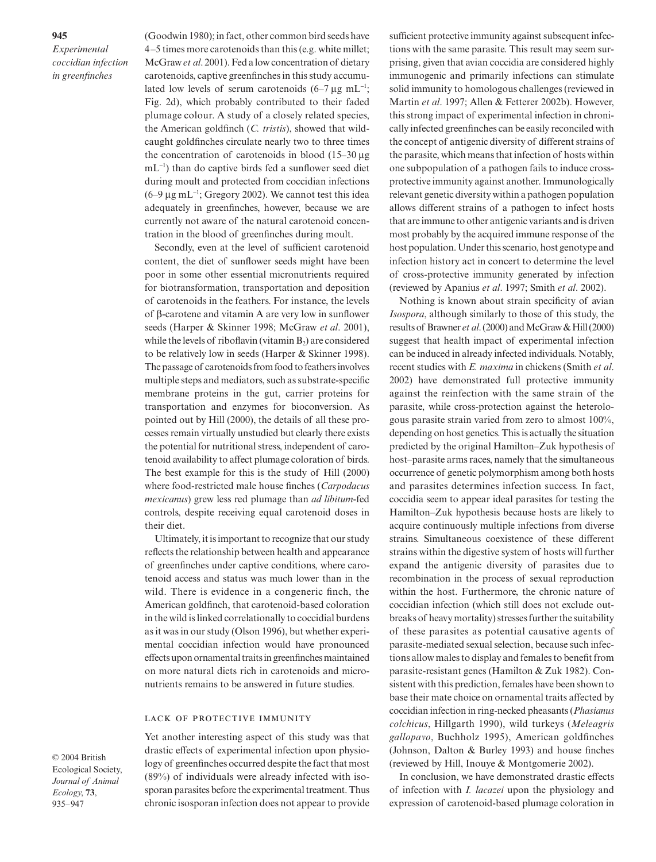(Goodwin 1980); in fact, other common bird seeds have 4–5 times more carotenoids than this (e.g. white millet; McGraw *et al*. 2001). Fed a low concentration of dietary carotenoids, captive greenfinches in this study accumulated low levels of serum carotenoids  $(6-7 \mu g \text{ mL}^{-1})$ ; Fig. 2d), which probably contributed to their faded plumage colour. A study of a closely related species, the American goldfinch (*C. tristis*), showed that wildcaught goldfinches circulate nearly two to three times the concentration of carotenoids in blood (15–30 µg mL<sup>−</sup><sup>1</sup> ) than do captive birds fed a sunflower seed diet during moult and protected from coccidian infections (6–9  $\mu$ g mL<sup>-1</sup>; Gregory 2002). We cannot test this idea adequately in greenfinches, however, because we are currently not aware of the natural carotenoid concentration in the blood of greenfinches during moult.

Secondly, even at the level of sufficient carotenoid content, the diet of sunflower seeds might have been poor in some other essential micronutrients required for biotransformation, transportation and deposition of carotenoids in the feathers. For instance, the levels of β-carotene and vitamin A are very low in sunflower seeds (Harper & Skinner 1998; McGraw *et al*. 2001), while the levels of riboflavin (vitamin  $B_2$ ) are considered to be relatively low in seeds (Harper & Skinner 1998). The passage of carotenoids from food to feathers involves multiple steps and mediators, such as substrate-specific membrane proteins in the gut, carrier proteins for transportation and enzymes for bioconversion. As pointed out by Hill (2000), the details of all these processes remain virtually unstudied but clearly there exists the potential for nutritional stress, independent of carotenoid availability to affect plumage coloration of birds. The best example for this is the study of Hill (2000) where food-restricted male house finches (*Carpodacus mexicanus*) grew less red plumage than *ad libitum*-fed controls, despite receiving equal carotenoid doses in their diet.

Ultimately, it is important to recognize that our study reflects the relationship between health and appearance of greenfinches under captive conditions, where carotenoid access and status was much lower than in the wild. There is evidence in a congeneric finch, the American goldfinch, that carotenoid-based coloration in the wild is linked correlationally to coccidial burdens as it was in our study (Olson 1996), but whether experimental coccidian infection would have pronounced effects upon ornamental traits in greenfinches maintained on more natural diets rich in carotenoids and micronutrients remains to be answered in future studies.

# LACK OF PROTECTIVE IMMUNITY

Yet another interesting aspect of this study was that drastic effects of experimental infection upon physiology of greenfinches occurred despite the fact that most (89%) of individuals were already infected with isosporan parasites before the experimental treatment. Thus chronic isosporan infection does not appear to provide sufficient protective immunity against subsequent infections with the same parasite. This result may seem surprising, given that avian coccidia are considered highly immunogenic and primarily infections can stimulate solid immunity to homologous challenges (reviewed in Martin *et al*. 1997; Allen & Fetterer 2002b). However, this strong impact of experimental infection in chronically infected greenfinches can be easily reconciled with the concept of antigenic diversity of different strains of the parasite, which means that infection of hosts within one subpopulation of a pathogen fails to induce crossprotective immunity against another. Immunologically relevant genetic diversity within a pathogen population allows different strains of a pathogen to infect hosts that are immune to other antigenic variants and is driven most probably by the acquired immune response of the host population. Under this scenario, host genotype and infection history act in concert to determine the level of cross-protective immunity generated by infection (reviewed by Apanius *et al*. 1997; Smith *et al*. 2002).

Nothing is known about strain specificity of avian *Isospora*, although similarly to those of this study, the results of Brawner *et al*. (2000) and McGraw & Hill (2000) suggest that health impact of experimental infection can be induced in already infected individuals. Notably, recent studies with *E. maxima* in chickens (Smith *et al*. 2002) have demonstrated full protective immunity against the reinfection with the same strain of the parasite, while cross-protection against the heterologous parasite strain varied from zero to almost 100%, depending on host genetics. This is actually the situation predicted by the original Hamilton–Zuk hypothesis of host–parasite arms races, namely that the simultaneous occurrence of genetic polymorphism among both hosts and parasites determines infection success. In fact, coccidia seem to appear ideal parasites for testing the Hamilton–Zuk hypothesis because hosts are likely to acquire continuously multiple infections from diverse strains. Simultaneous coexistence of these different strains within the digestive system of hosts will further expand the antigenic diversity of parasites due to recombination in the process of sexual reproduction within the host. Furthermore, the chronic nature of coccidian infection (which still does not exclude outbreaks of heavy mortality) stresses further the suitability of these parasites as potential causative agents of parasite-mediated sexual selection, because such infections allow males to display and females to benefit from parasite-resistant genes (Hamilton & Zuk 1982). Consistent with this prediction, females have been shown to base their mate choice on ornamental traits affected by coccidian infection in ring-necked pheasants (*Phasianus colchicus*, Hillgarth 1990), wild turkeys (*Meleagris gallopavo*, Buchholz 1995), American goldfinches (Johnson, Dalton & Burley 1993) and house finches (reviewed by Hill, Inouye & Montgomerie 2002).

In conclusion, we have demonstrated drastic effects of infection with *I. lacazei* upon the physiology and expression of carotenoid-based plumage coloration in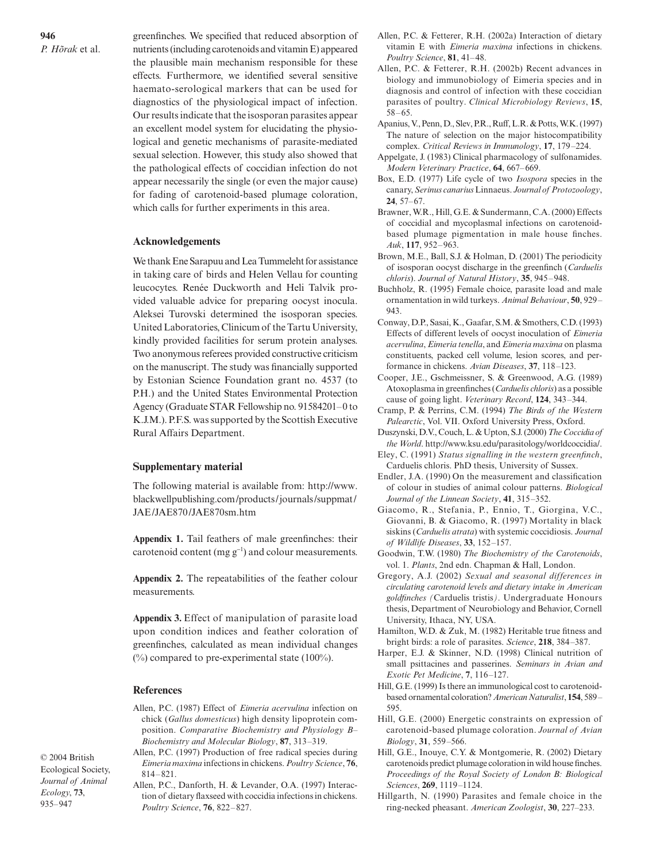*P. Hõrak* et al.

greenfinches. We specified that reduced absorption of nutrients (including carotenoids and vitamin E) appeared the plausible main mechanism responsible for these effects. Furthermore, we identified several sensitive haemato-serological markers that can be used for diagnostics of the physiological impact of infection. Our results indicate that the isosporan parasites appear an excellent model system for elucidating the physiological and genetic mechanisms of parasite-mediated sexual selection. However, this study also showed that the pathological effects of coccidian infection do not appear necessarily the single (or even the major cause) for fading of carotenoid-based plumage coloration, which calls for further experiments in this area.

# **Acknowledgements**

We thank Ene Sarapuu and Lea Tummeleht for assistance in taking care of birds and Helen Vellau for counting leucocytes. Renée Duckworth and Heli Talvik provided valuable advice for preparing oocyst inocula. Aleksei Turovski determined the isosporan species. United Laboratories, Clinicum of the Tartu University, kindly provided facilities for serum protein analyses. Two anonymous referees provided constructive criticism on the manuscript. The study was financially supported by Estonian Science Foundation grant no. 4537 (to P.H.) and the United States Environmental Protection Agency (Graduate STAR Fellowship no. 91584201–0 to K.J.M.). P.F.S. was supported by the Scottish Executive Rural Affairs Department.

# **Supplementary material**

The following material is available from: [http://www.](http://www) blackwellpublishing.com/products/journals/suppmat/ JAE/JAE870/JAE870sm.htm

**Appendix 1.** Tail feathers of male greenfinches: their carotenoid content (mg  $g^{-1}$ ) and colour measurements.

**Appendix 2.** The repeatabilities of the feather colour measurements.

**Appendix 3.** Effect of manipulation of parasite load upon condition indices and feather coloration of greenfinches, calculated as mean individual changes  $(\%)$  compared to pre-experimental state (100%).

#### **References**

- Allen, P.C. (1987) Effect of *Eimeria acervulina* infection on chick (*Gallus domesticus*) high density lipoprotein composition. *Comparative Biochemistry and Physiology B– Biochemistry and Molecular Biology*, **87**, 313–319.
- Allen, P.C. (1997) Production of free radical species during *Eimeria maxima* infections in chickens. *Poultry Science*, **76**, 814–821.
	- Allen, P.C., Danforth, H. & Levander, O.A. (1997) Interaction of dietary flaxseed with coccidia infections in chickens. *Poultry Science*, **76**, 822–827.
- Allen, P.C. & Fetterer, R.H. (2002a) Interaction of dietary vitamin E with *Eimeria maxima* infections in chickens. *Poultry Science*, **81**, 41–48.
- Allen, P.C. & Fetterer, R.H. (2002b) Recent advances in biology and immunobiology of Eimeria species and in diagnosis and control of infection with these coccidian parasites of poultry. *Clinical Microbiology Reviews*, **15**, 58–65.
- Apanius, V., Penn, D., Slev, P.R., Ruff, L.R. & Potts, W.K. (1997) The nature of selection on the major histocompatibility complex. *Critical Reviews in Immunology*, **17**, 179–224.
- Appelgate, J. (1983) Clinical pharmacology of sulfonamides. *Modern Veterinary Practice*, **64**, 667–669.
- Box, E.D. (1977) Life cycle of two *Isospora* species in the canary, *Serinus canarius*Linnaeus. *Journal of Protozoology*, **24**, 57–67.
- Brawner, W.R., Hill, G.E. & Sundermann, C.A. (2000) Effects of coccidial and mycoplasmal infections on carotenoidbased plumage pigmentation in male house finches. *Auk*, **117**, 952–963.
- Brown, M.E., Ball, S.J. & Holman, D. (2001) The periodicity of isosporan oocyst discharge in the greenfinch (*Carduelis chloris*). *Journal of Natural History*, **35**, 945–948.
- Buchholz, R. (1995) Female choice, parasite load and male ornamentation in wild turkeys. *Animal Behaviour*, **50**, 929– 943.
- Conway, D.P., Sasai, K., Gaafar, S.M. & Smothers, C.D. (1993) Effects of different levels of oocyst inoculation of *Eimeria acervulina*, *Eimeria tenella*, and *Eimeria maxima* on plasma constituents, packed cell volume, lesion scores, and performance in chickens. *Avian Diseases*, **37**, 118–123.
- Cooper, J.E., Gschmeissner, S. & Greenwood, A.G. (1989) Atoxoplasma in greenfinches (*Carduelis chloris*) as a possible cause of going light. *Veterinary Record*, **124**, 343–344.
- Cramp, P. & Perrins, C.M. (1994) *The Birds of the Western Palearctic*, Vol. VII. Oxford University Press, Oxford.
- Duszynski, D.V., Couch, L. & Upton, S.J. (2000) *The Coccidia of the World*. [http://www.ksu.edu/parasitology/worldcoccidia/.](http://www.ksu.edu/parasitology/worldcoccidia/)
- Eley, C. (1991) *Status signalling in the western greenfinch*, Carduelis chloris. PhD thesis, University of Sussex.
- Endler, J.A. (1990) On the measurement and classification of colour in studies of animal colour patterns. *Biological Journal of the Linnean Society*, **41**, 315–352.
- Giacomo, R., Stefania, P., Ennio, T., Giorgina, V.C., Giovanni, B. & Giacomo, R. (1997) Mortality in black siskins (*Carduelis atrata*) with systemic coccidiosis. *Journal of Wildlife Diseases*, **33**, 152–157.
- Goodwin, T.W. (1980) *The Biochemistry of the Carotenoids*, vol. 1. *Plants*, 2nd edn. Chapman & Hall, London.
- Gregory, A.J. (2002) *Sexual and seasonal differences in circulating carotenoid levels and dietary intake in American goldfinches (*Carduelis tristis*)*. Undergraduate Honours thesis, Department of Neurobiology and Behavior, Cornell University, Ithaca, NY, USA.
- Hamilton, W.D. & Zuk, M. (1982) Heritable true fitness and bright birds: a role of parasites. *Science*, **218**, 384–387.
- Harper, E.J. & Skinner, N.D. (1998) Clinical nutrition of small psittacines and passerines. *Seminars in Avian and Exotic Pet Medicine*, **7**, 116–127.
- Hill, G.E. (1999) Is there an immunological cost to carotenoidbased ornamental coloration? *American Naturalist*, **154**, 589– 595.
- Hill, G.E. (2000) Energetic constraints on expression of carotenoid-based plumage coloration. *Journal of Avian Biology*, **31**, 559–566.
- Hill, G.E., Inouye, C.Y. & Montgomerie, R. (2002) Dietary carotenoids predict plumage coloration in wild house finches. *Proceedings of the Royal Society of London B: Biological Sciences*, **269**, 1119–1124.
- Hillgarth, N. (1990) Parasites and female choice in the ring-necked pheasant. *American Zoologist*, **30**, 227–233.